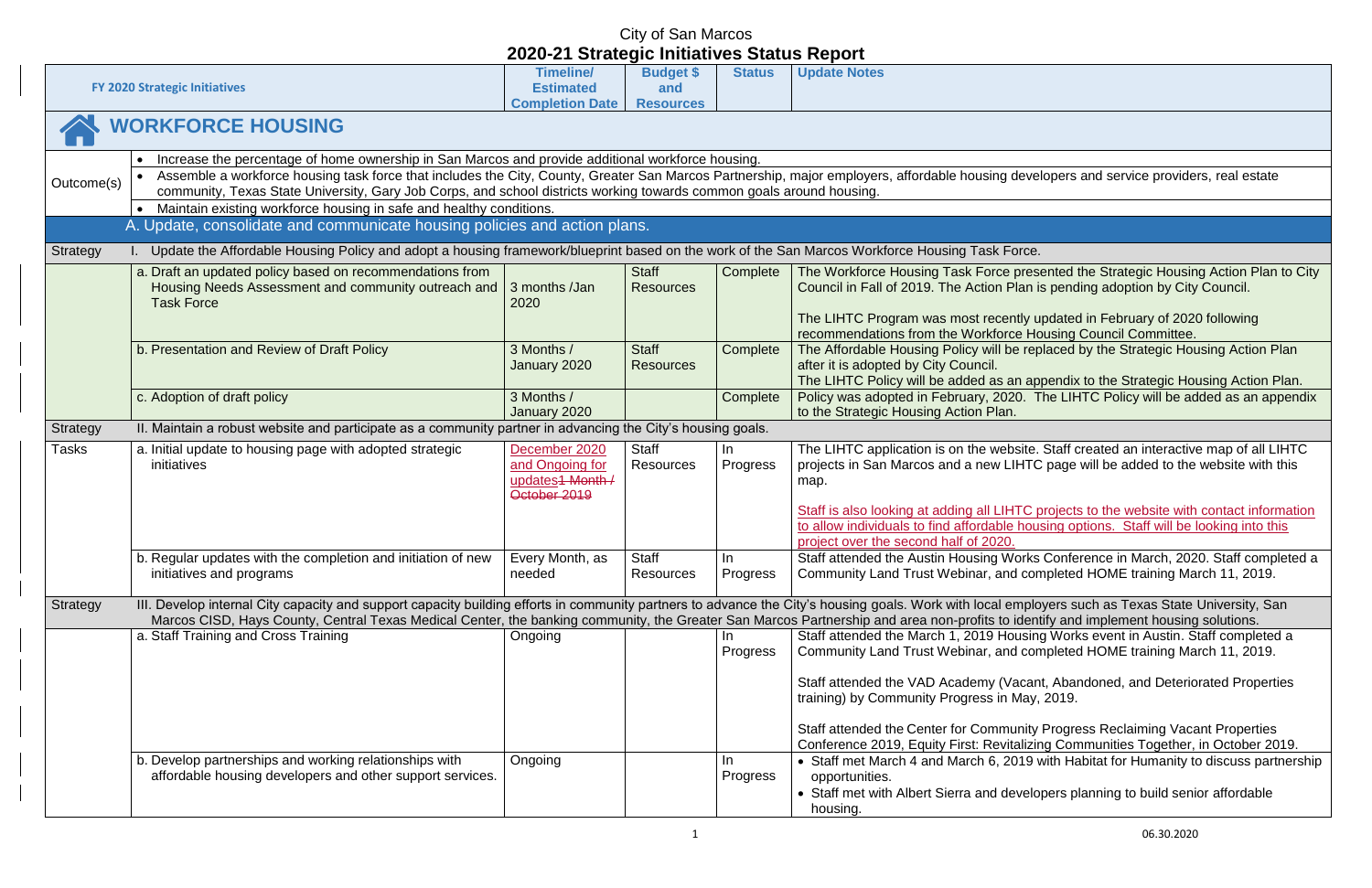|                                                                                                                                                                                                                                                                                                                                                                                                                                                                    |                                                                                                                                                                                                                                                                                                               | 2020 21 Oualogio milialitoo Olalao Roport                                       |                                             |                 |                                                                                                                                                                                                                                                                |  |  |
|--------------------------------------------------------------------------------------------------------------------------------------------------------------------------------------------------------------------------------------------------------------------------------------------------------------------------------------------------------------------------------------------------------------------------------------------------------------------|---------------------------------------------------------------------------------------------------------------------------------------------------------------------------------------------------------------------------------------------------------------------------------------------------------------|---------------------------------------------------------------------------------|---------------------------------------------|-----------------|----------------------------------------------------------------------------------------------------------------------------------------------------------------------------------------------------------------------------------------------------------------|--|--|
|                                                                                                                                                                                                                                                                                                                                                                                                                                                                    | <b>FY 2020 Strategic Initiatives</b>                                                                                                                                                                                                                                                                          | <b>Timeline/</b><br><b>Estimated</b><br><b>Completion Date</b>                  | <b>Budget \$</b><br>and<br><b>Resources</b> | <b>Status</b>   | <b>Update Notes</b>                                                                                                                                                                                                                                            |  |  |
|                                                                                                                                                                                                                                                                                                                                                                                                                                                                    | <b>WORKFORCE HOUSING</b>                                                                                                                                                                                                                                                                                      |                                                                                 |                                             |                 |                                                                                                                                                                                                                                                                |  |  |
| Increase the percentage of home ownership in San Marcos and provide additional workforce housing.<br>Assemble a workforce housing task force that includes the City, County, Greater San Marcos Partnership, major employers, affordable housing deve<br>Outcome(s)<br>community, Texas State University, Gary Job Corps, and school districts working towards common goals around housing.<br>Maintain existing workforce housing in safe and healthy conditions. |                                                                                                                                                                                                                                                                                                               |                                                                                 |                                             |                 |                                                                                                                                                                                                                                                                |  |  |
|                                                                                                                                                                                                                                                                                                                                                                                                                                                                    | A. Update, consolidate and communicate housing policies and action plans.                                                                                                                                                                                                                                     |                                                                                 |                                             |                 |                                                                                                                                                                                                                                                                |  |  |
| <b>Strategy</b>                                                                                                                                                                                                                                                                                                                                                                                                                                                    | Update the Affordable Housing Policy and adopt a housing framework/blueprint based on the work of the San Marcos Workforce Housing Task Force.                                                                                                                                                                |                                                                                 |                                             |                 |                                                                                                                                                                                                                                                                |  |  |
|                                                                                                                                                                                                                                                                                                                                                                                                                                                                    | a. Draft an updated policy based on recommendations from<br>Housing Needs Assessment and community outreach and<br><b>Task Force</b>                                                                                                                                                                          | 3 months /Jan<br>2020                                                           | <b>Staff</b><br><b>Resources</b>            | Complete        | The Workforce Housing Task Force pres<br>Council in Fall of 2019. The Action Plan i<br>The LIHTC Program was most recently u                                                                                                                                   |  |  |
|                                                                                                                                                                                                                                                                                                                                                                                                                                                                    |                                                                                                                                                                                                                                                                                                               |                                                                                 |                                             |                 | recommendations from the Workforce Ho                                                                                                                                                                                                                          |  |  |
|                                                                                                                                                                                                                                                                                                                                                                                                                                                                    | b. Presentation and Review of Draft Policy                                                                                                                                                                                                                                                                    | 3 Months /<br>January 2020                                                      | <b>Staff</b><br><b>Resources</b>            | Complete        | The Affordable Housing Policy will be rep<br>after it is adopted by City Council.<br>The LIHTC Policy will be added as an ap                                                                                                                                   |  |  |
|                                                                                                                                                                                                                                                                                                                                                                                                                                                                    | c. Adoption of draft policy                                                                                                                                                                                                                                                                                   | 3 Months /<br>January 2020                                                      |                                             | Complete        | Policy was adopted in February, 2020. T<br>to the Strategic Housing Action Plan.                                                                                                                                                                               |  |  |
| Strategy                                                                                                                                                                                                                                                                                                                                                                                                                                                           | II. Maintain a robust website and participate as a community partner in advancing the City's housing goals.                                                                                                                                                                                                   |                                                                                 |                                             |                 |                                                                                                                                                                                                                                                                |  |  |
| Tasks                                                                                                                                                                                                                                                                                                                                                                                                                                                              | a. Initial update to housing page with adopted strategic<br>initiatives                                                                                                                                                                                                                                       | December 2020<br>and Ongoing for<br>updates <sub>1</sub> Month/<br>October 2019 | <b>Staff</b><br><b>Resources</b>            | In<br>Progress  | The LIHTC application is on the website.<br>projects in San Marcos and a new LIHTC<br>map.<br>Staff is also looking at adding all LIHTC p<br>to allow individuals to find affordable hou<br>project over the second half of 2020.                              |  |  |
|                                                                                                                                                                                                                                                                                                                                                                                                                                                                    | b. Regular updates with the completion and initiation of new                                                                                                                                                                                                                                                  | Every Month, as                                                                 | Staff                                       | In.             | Staff attended the Austin Housing Works                                                                                                                                                                                                                        |  |  |
|                                                                                                                                                                                                                                                                                                                                                                                                                                                                    | initiatives and programs                                                                                                                                                                                                                                                                                      | needed                                                                          | <b>Resources</b>                            | <b>Progress</b> | Community Land Trust Webinar, and con                                                                                                                                                                                                                          |  |  |
| Strategy                                                                                                                                                                                                                                                                                                                                                                                                                                                           | III. Develop internal City capacity and support capacity building efforts in community partners to advance the City's housing goals. Work with local emplo<br>Marcos CISD, Hays County, Central Texas Medical Center, the banking community, the Greater San Marcos Partnership and area non-profits to ident |                                                                                 |                                             |                 |                                                                                                                                                                                                                                                                |  |  |
|                                                                                                                                                                                                                                                                                                                                                                                                                                                                    | a. Staff Training and Cross Training                                                                                                                                                                                                                                                                          | Ongoing                                                                         |                                             | In.<br>Progress | Staff attended the March 1, 2019 Housing<br>Community Land Trust Webinar, and con<br>Staff attended the VAD Academy (Vacan<br>training) by Community Progress in May,<br>Staff attended the Center for Community<br>Conference 2019, Equity First: Revitalizir |  |  |
|                                                                                                                                                                                                                                                                                                                                                                                                                                                                    | b. Develop partnerships and working relationships with<br>affordable housing developers and other support services.                                                                                                                                                                                           | Ongoing                                                                         |                                             | In.<br>Progress | • Staff met March 4 and March 6, 2019 v<br>opportunities.<br>• Staff met with Albert Sierra and develo<br>housing.                                                                                                                                             |  |  |

#### developers and service providers, real estate

presented the Strategic Housing Action Plan to City Plan is pending adoption by City Council.

ntly updated in February of 2020 following ce Housing Council Committee. De replaced by the Strategic Housing Action Plan

an appendix to the Strategic Housing Action Plan. 20. The LIHTC Policy will be added as an appendix

bsite. Staff created an interactive map of all LIHTC  $I$ HTC page will be added to the website with this

**STAFF is also looking is also looking at all LIFTC projects to the website with contact information** to housing options. Staff will be looking into this

Vorks Conference in March, 2020. Staff completed a d completed HOME training March 11, 2019.

employers such as Texas State University, Sand employers such as Texas State University, San identify and implement housing solutions. ousing Works event in Austin. Staff completed a d completed HOME training March 11, 2019.

Vacant, Abandoned, and Deteriorated Properties May, 2019.

**State Progress Reclaiming Vacant Properties** Italizing Communities Together, in October 2019. <sup>2019</sup> with Habitat for Humanity to discuss partnership

evelopers planning to build senior affordable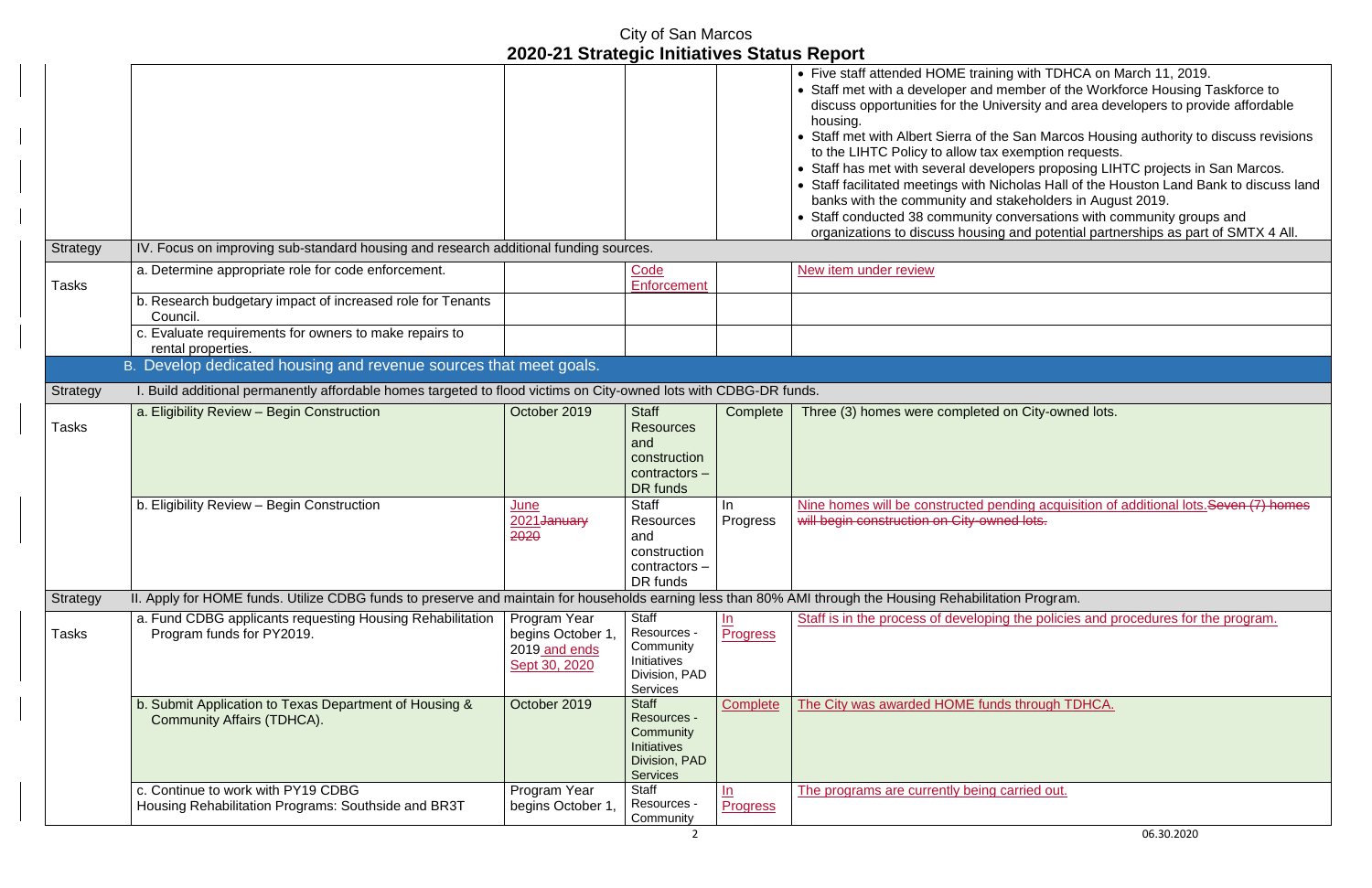• Staff met with a developer and member of the Workforce Housing Taskforce to discuss opportunities for the University and area developers to provide affordable

- Staff met with Albert Sierra of the San Marcos Housing authority to discuss revisions
- Staff has met with several developers proposing LIHTC projects in San Marcos.
- Staff facilitated meetings with Nicholas Hall of the Houston Land Bank to discuss land
- Staff conducted 38 community conversations with community groups and
- organizations to discuss housing and potential partnerships as part of SMTX 4 All.

#### City of San Marcos **2020-21 Strategic Initiatives Status Report** • Five staff attended HOME training with TDHCA on March 11, 2019. housing. to the LIHTC Policy to allow tax exemption requests. banks with the community and stakeholders in August 2019. Strategy | IV. Focus on improving sub-standard housing and research additional funding sources. Tasks a. Determine appropriate role for code enforcement. The same state of code code is a set of code **Enforcement** New item under review b. Research budgetary impact of increased role for Tenants Council. c. Evaluate requirements for owners to make repairs to rental properties. B. Develop dedicated housing and revenue sources that meet goals. Strategy I. Build additional permanently affordable homes targeted to flood victims on City-owned lots with CDBG-DR funds. Tasks a. Eligibility Review – Begin Construction **Construction Construction Construction Construction Construction Resources** and construction contractors – DR funds Complete | Three (3) homes were completed on City-owned lots. b. Eligibility Review – Begin Construction June 2021<del>January</del> 2020 **Staff Resources** and construction contractors – DR funds In Progress will begin construction on City-owned lots. Strategy II. Apply for HOME funds. Utilize CDBG funds to preserve and maintain for households earning less than 80% AMI through the Housing Rehabilitation Program. Tasks a. Fund CDBG applicants requesting Housing Rehabilitation Program funds for PY2019. Program Year begins October 1, 2019 and ends Sept 30, 2020 **Staff** Resources - **Community** Initiatives Division, PAD **Services**  $In$ **Progress** b. Submit Application to Texas Department of Housing & Community Affairs (TDHCA). October 2019 Staff Resources - **Community Initiatives** Division, PAD **Services** Complete | The City was awarded HOME funds through TDHCA. c. Continue to work with PY19 CDBG Housing Rehabilitation Programs: Southside and BR3T Program Year begins October 1, **Staff** Resources - **Community**  $ln$ **Progress** The programs are currently being carried out.

Nine homes will be constructed pending acquisition of additional lots.Seven (7) homes

Staff is in the process of developing the policies and procedures for the program.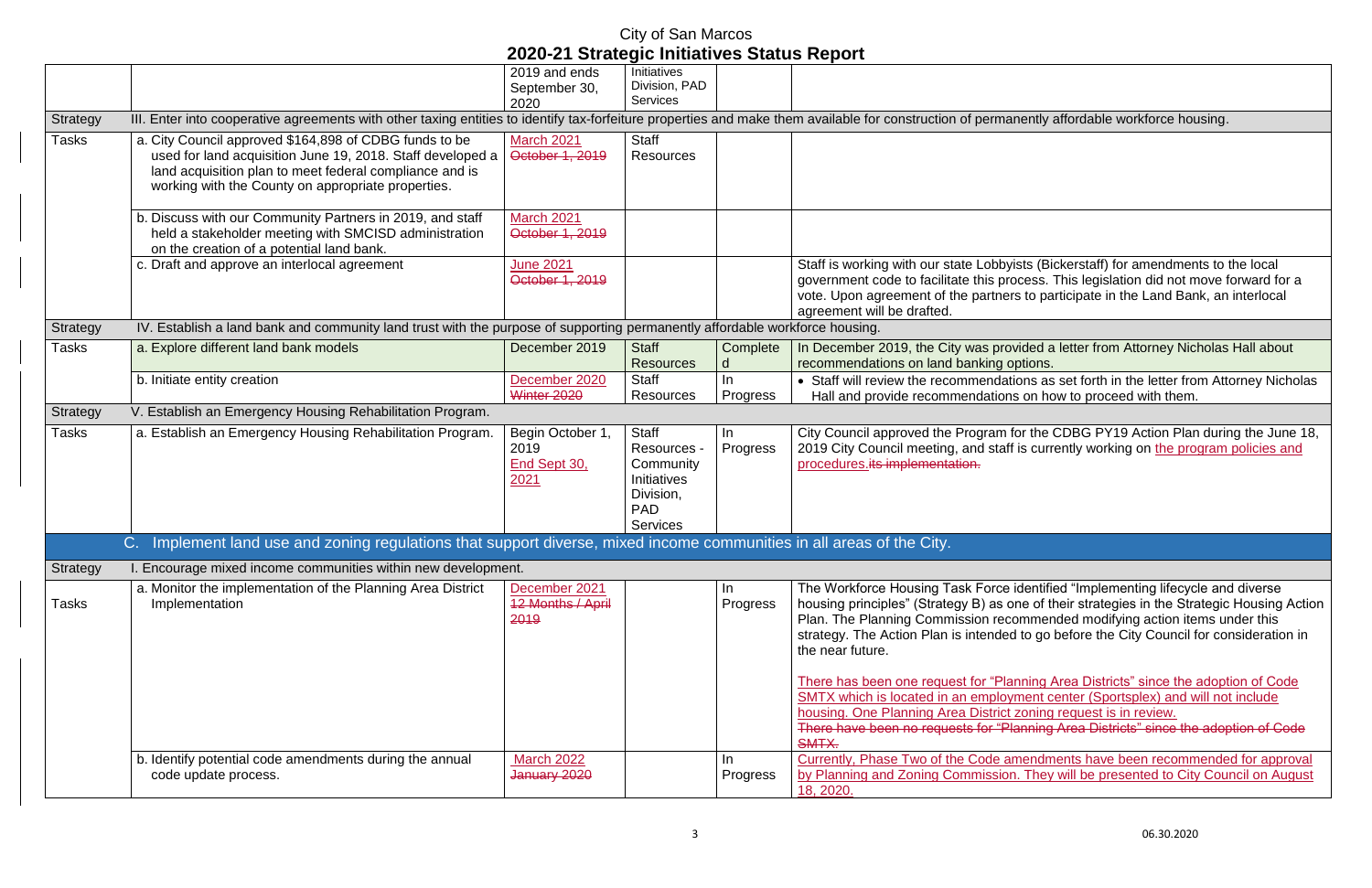In December 2019, the City was provided a letter from Attorney Nicholas Hall about options.

ations as set forth in the letter from Attorney Nicholas Ins on how to proceed with them.

If for the CDBG PY19 Action Plan during the June 18, aff is currently working on the program policies and

e identified "Implementing lifecycle and diverse one of their strategies in the Strategic Housing Action ecommended modifying action items under this ed to go before the City Council for consideration in

There has been one request for "Planning Area Districts" since the adoption of Code SMTX which is located in an employment center (Sportsplex) and will not include t zoning request is in review. Planning Area Districts" since the adoption of Code

> amendments have been recommended for approval on. They will be presented to City Council on August

|                 |                                                                                                                                                          |                   | 9. T             |          |                                      |
|-----------------|----------------------------------------------------------------------------------------------------------------------------------------------------------|-------------------|------------------|----------|--------------------------------------|
|                 |                                                                                                                                                          | 2019 and ends     | Initiatives      |          |                                      |
|                 |                                                                                                                                                          | September 30,     | Division, PAD    |          |                                      |
|                 |                                                                                                                                                          | 2020              | <b>Services</b>  |          |                                      |
| Strategy        | III. Enter into cooperative agreements with other taxing entities to identify tax-forfeiture properties and make them available for construction of perm |                   |                  |          |                                      |
| Tasks           | a. City Council approved \$164,898 of CDBG funds to be                                                                                                   | <b>March 2021</b> | <b>Staff</b>     |          |                                      |
|                 | used for land acquisition June 19, 2018. Staff developed a                                                                                               | October 1, 2019   | <b>Resources</b> |          |                                      |
|                 | land acquisition plan to meet federal compliance and is                                                                                                  |                   |                  |          |                                      |
|                 | working with the County on appropriate properties.                                                                                                       |                   |                  |          |                                      |
|                 |                                                                                                                                                          |                   |                  |          |                                      |
|                 | b. Discuss with our Community Partners in 2019, and staff                                                                                                | March 2021        |                  |          |                                      |
|                 | held a stakeholder meeting with SMCISD administration                                                                                                    | October 1, 2019   |                  |          |                                      |
|                 | on the creation of a potential land bank.                                                                                                                |                   |                  |          |                                      |
|                 | c. Draft and approve an interlocal agreement                                                                                                             | <b>June 2021</b>  |                  |          | Staff is working with our state Lobb |
|                 |                                                                                                                                                          | October 1, 2019   |                  |          | government code to facilitate this p |
|                 |                                                                                                                                                          |                   |                  |          | vote. Upon agreement of the partne   |
|                 |                                                                                                                                                          |                   |                  |          | agreement will be drafted.           |
| <b>Strategy</b> | IV. Establish a land bank and community land trust with the purpose of supporting permanently affordable workforce housing.                              |                   |                  |          |                                      |
| Tasks           | a. Explore different land bank models                                                                                                                    | December 2019     | <b>Staff</b>     | Complete | In December 2019, the City was pre   |
|                 |                                                                                                                                                          |                   | <b>Resources</b> | d        | recommendations on land banking      |
|                 | b. Initiate entity creation                                                                                                                              | December 2020     | <b>Staff</b>     | In       | • Staff will review the recommenda   |
|                 |                                                                                                                                                          | Winter 2020       | <b>Resources</b> | Progress | Hall and provide recommendatio       |
| <b>Strategy</b> | V. Establish an Emergency Housing Rehabilitation Program.                                                                                                |                   |                  |          |                                      |
| Tasks           | a. Establish an Emergency Housing Rehabilitation Program.                                                                                                | Begin October 1,  | <b>Staff</b>     | In       | City Council approved the Program    |
|                 |                                                                                                                                                          | 2019              | Resources -      | Progress | 2019 City Council meeting, and sta   |
|                 |                                                                                                                                                          | End Sept 30,      | Community        |          | procedures.its implementation.       |
|                 |                                                                                                                                                          | 2021              | Initiatives      |          |                                      |
|                 |                                                                                                                                                          |                   | Division,        |          |                                      |
|                 |                                                                                                                                                          |                   | <b>PAD</b>       |          |                                      |
|                 |                                                                                                                                                          |                   | <b>Services</b>  |          |                                      |
|                 | Implement land use and zoning regulations that support diverse, mixed income communities in all areas of the City.<br>$C_{\cdot}$                        |                   |                  |          |                                      |
| Strategy        | I. Encourage mixed income communities within new development.                                                                                            |                   |                  |          |                                      |
|                 | a. Monitor the implementation of the Planning Area District                                                                                              | December 2021     |                  | In       | The Workforce Housing Task Force     |
| Tasks           | Implementation                                                                                                                                           | 12 Months / April |                  | Progress | housing principles" (Strategy B) as  |
|                 |                                                                                                                                                          | 2019              |                  |          | Plan. The Planning Commission re     |
|                 |                                                                                                                                                          |                   |                  |          | strategy. The Action Plan is intende |
|                 |                                                                                                                                                          |                   |                  |          | the near future.                     |
|                 |                                                                                                                                                          |                   |                  |          |                                      |
|                 |                                                                                                                                                          |                   |                  |          | There has been one request for "PI   |
|                 |                                                                                                                                                          |                   |                  |          | SMTX which is located in an emplo    |
|                 |                                                                                                                                                          |                   |                  |          | housing. One Planning Area Distric   |
|                 |                                                                                                                                                          |                   |                  |          | There have been no requests for "F   |
|                 |                                                                                                                                                          |                   |                  |          | SMTX.                                |
|                 | b. Identify potential code amendments during the annual                                                                                                  | <b>March 2022</b> |                  | In       | Currently, Phase Two of the Code a   |
|                 | code update process.                                                                                                                                     | January 2020      |                  | Progress | by Planning and Zoning Commissio     |
|                 |                                                                                                                                                          |                   |                  |          | 18, 2020.                            |

anently affordable workforce housing.

 $\overline{\text{y}_{\text{y}}\text{y}_{\text{y}}}$  (Bickerstaff) for amendments to the local process. This legislation did not move forward for a ers to participate in the Land Bank, an interlocal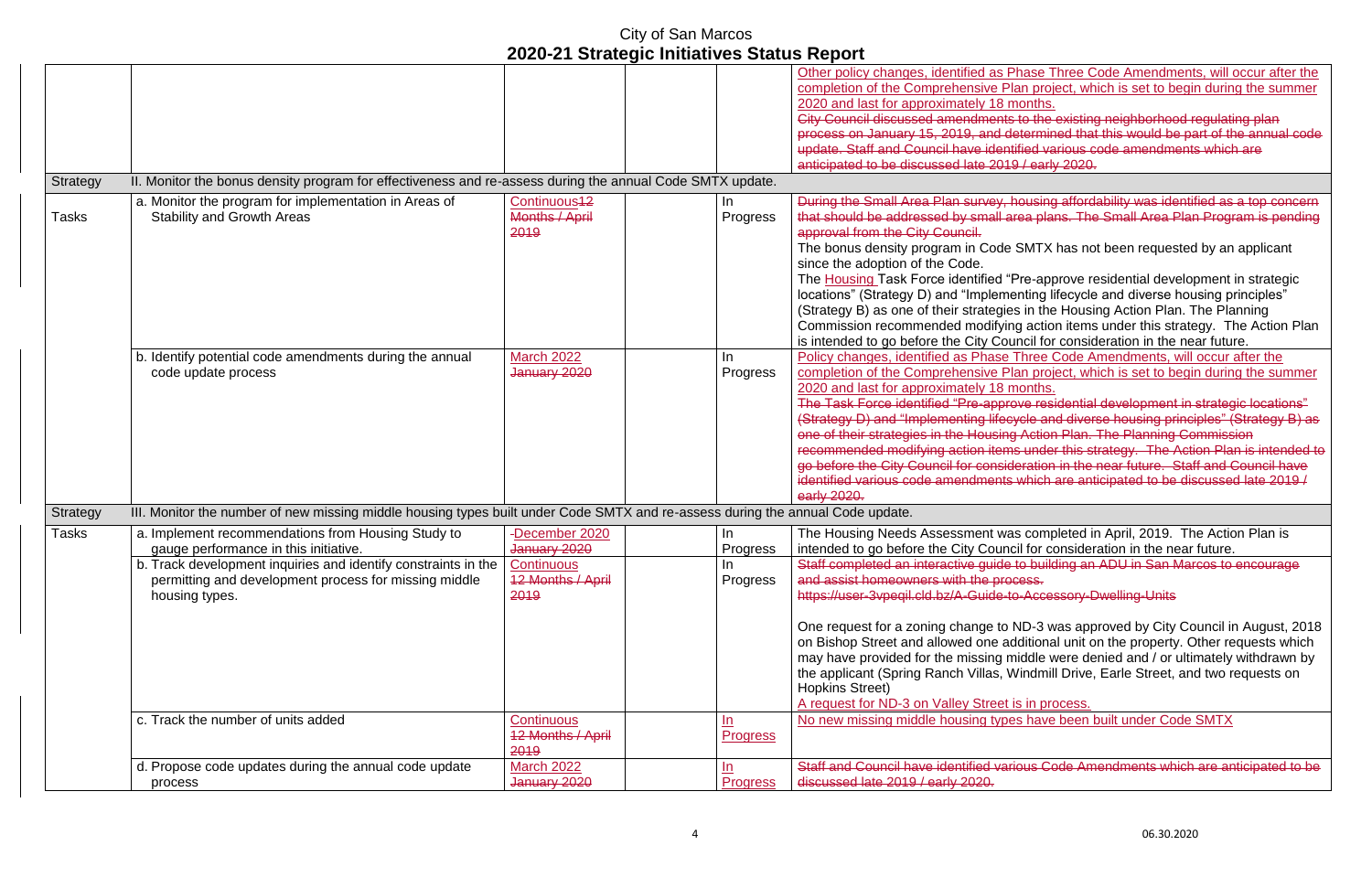|                 |                                                                                                                                                                                                                                          |                                                                                  |                                      | Other policy changes, identified as<br>completion of the Comprehensive F<br>2020 and last for approximately 18<br><b>City Council discussed amendment</b><br>process on January 15, 2019, and a<br>update. Staff and Council have ider<br>anticipated to be discussed late 201                                                                                                                                       |
|-----------------|------------------------------------------------------------------------------------------------------------------------------------------------------------------------------------------------------------------------------------------|----------------------------------------------------------------------------------|--------------------------------------|----------------------------------------------------------------------------------------------------------------------------------------------------------------------------------------------------------------------------------------------------------------------------------------------------------------------------------------------------------------------------------------------------------------------|
| Strategy        | II. Monitor the bonus density program for effectiveness and re-assess during the annual Code SMTX update.                                                                                                                                |                                                                                  |                                      |                                                                                                                                                                                                                                                                                                                                                                                                                      |
| Tasks           | a. Monitor the program for implementation in Areas of<br><b>Stability and Growth Areas</b>                                                                                                                                               | Continuous <sup>42</sup><br>Months / April<br>2019                               | In.<br>Progress                      | During the Small Area Plan survey,<br>that should be addressed by small a<br>approval from the City Council.<br>The bonus density program in Code<br>since the adoption of the Code.<br>The Housing Task Force identified<br>locations" (Strategy D) and "Implem<br>(Strategy B) as one of their strategion<br>Commission recommended modifyi<br>is intended to go before the City Co                                |
|                 | b. Identify potential code amendments during the annual<br>code update process                                                                                                                                                           | <b>March 2022</b><br>January 2020                                                | In<br>Progress                       | Policy changes, identified as Phase<br>completion of the Comprehensive F<br>2020 and last for approximately 18<br>The Task Force identified "Pre-appr<br>(Strategy D) and "Implementing life<br>one of their strategies in the Housin<br>recommended modifying action iten<br>go before the City Council for consi<br>identified various code amendment<br>early 2020.                                               |
| <b>Strategy</b> | III. Monitor the number of new missing middle housing types built under Code SMTX and re-assess during the annual Code update.                                                                                                           |                                                                                  |                                      |                                                                                                                                                                                                                                                                                                                                                                                                                      |
| <b>Tasks</b>    | a. Implement recommendations from Housing Study to<br>gauge performance in this initiative.<br>b. Track development inquiries and identify constraints in the<br>permitting and development process for missing middle<br>housing types. | -December 2020<br>January 2020<br>Continuous<br><b>12 Months / April</b><br>2019 | $\ln$<br>Progress<br>In<br>Progress  | The Housing Needs Assessment w<br>intended to go before the City Cour<br>Staff completed an interactive guide<br>and assist homeowners with the pro<br>https://user-3vpeqil.cld.bz/A-Guide-<br>One request for a zoning change to<br>on Bishop Street and allowed one a<br>may have provided for the missing<br>the applicant (Spring Ranch Villas,<br><b>Hopkins Street)</b><br>A request for ND-3 on Valley Street |
|                 | c. Track the number of units added                                                                                                                                                                                                       | Continuous<br><b>12 Months / April</b><br>2019                                   | $\underline{\ln}$<br><b>Progress</b> | No new missing middle housing typ                                                                                                                                                                                                                                                                                                                                                                                    |
|                 | d. Propose code updates during the annual code update<br>process                                                                                                                                                                         | <b>March 2022</b><br>January 2020                                                | <u>In</u><br><b>Progress</b>         | Staff and Council have identified va<br>discussed late 2019 / early 2020.                                                                                                                                                                                                                                                                                                                                            |

Phase Three Code Amendments, will occur after the Plan project, which is set to begin during the summer months.

ts to the existing neighborhood regulating plan determined that this would be part of the annual code ntified various code amendments which are 19 / early 2020.

housing affordability was identified as a top concern area plans. The Small Area Plan Program is pending

e SMTX has not been requested by an applicant

"Pre-approve residential development in strategic nenting lifecycle and diverse housing principles" ies in the Housing Action Plan. The Planning ing action items under this strategy. The Action Plan buncil for consideration in the near future.

Three Code Amendments, will occur after the Plan project, which is set to begin during the summer months.

rove residential development in strategic locations" (Strategy D) and "Implementing lifecycle and diverse housing principles" (Strategy B) as ng Action Plan. The Planning Commission

ms under this strategy. The Action Plan is intended to ideration in the near future. Staff and Council have is which are anticipated to be discussed late  $2019/$ 

as completed in April, 2019. The Action Plan is ncil for consideration in the near future. e to building an ADU in San Marcos to encourage ocess.

to-Accessory-Dwelling-Units

ND-3 was approved by City Council in August, 2018 additional unit on the property. Other requests which middle were denied and / or ultimately withdrawn by Windmill Drive, Earle Street, and two requests on

 $\overline{\phantom{a}}$  is in process. Des have been built under Code SMTX

**Thata Council have identified and Connois Code Amendments which are anticipated to be**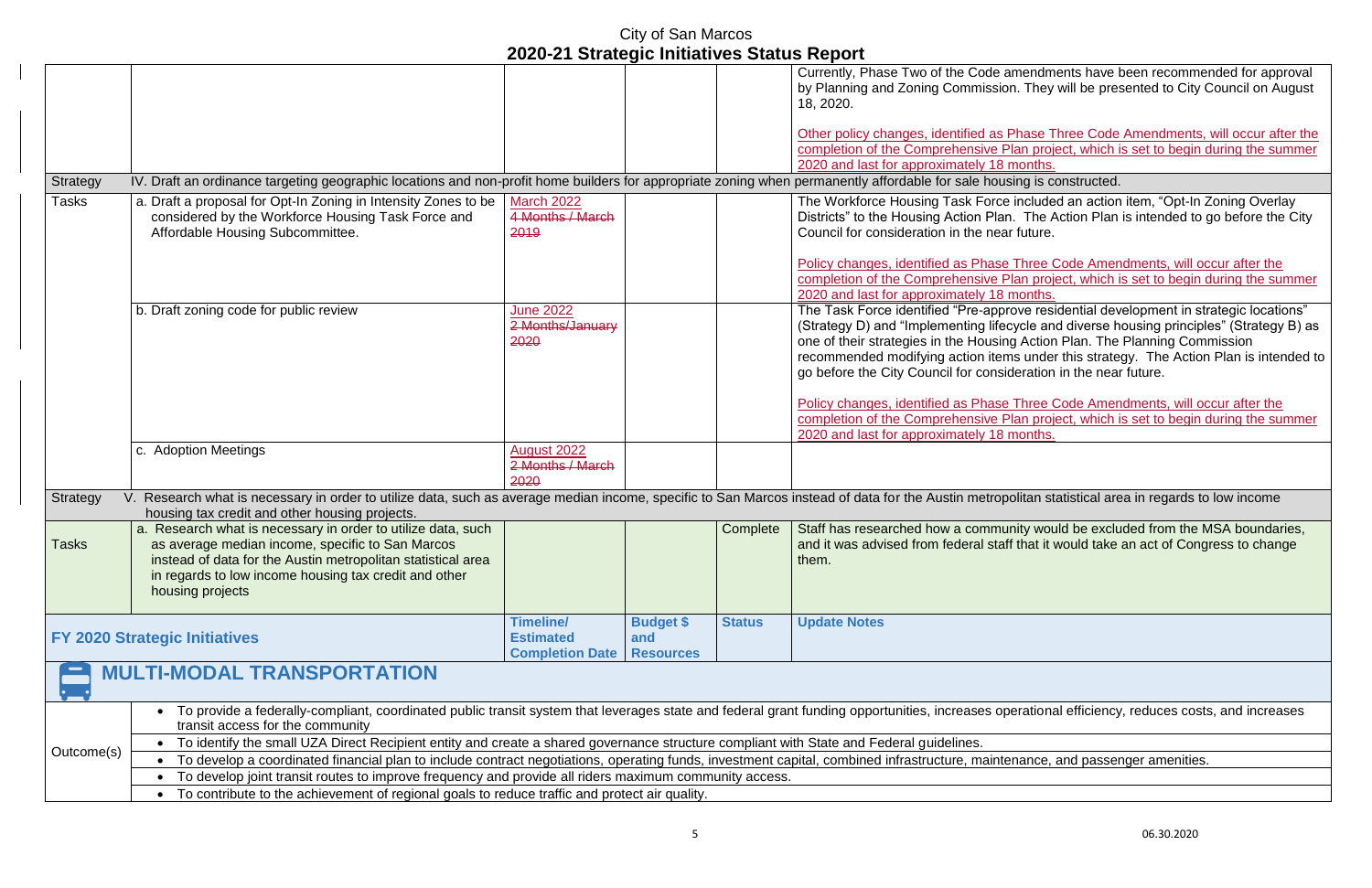|              |                                                                                                                                                        |                          |                  |               | Currently, Phase Two of the Code a<br>by Planning and Zoning Commissio        |  |  |  |
|--------------|--------------------------------------------------------------------------------------------------------------------------------------------------------|--------------------------|------------------|---------------|-------------------------------------------------------------------------------|--|--|--|
|              |                                                                                                                                                        |                          |                  |               | 18, 2020.                                                                     |  |  |  |
|              |                                                                                                                                                        |                          |                  |               | Other policy changes, identified as                                           |  |  |  |
|              |                                                                                                                                                        |                          |                  |               | completion of the Comprehensive F                                             |  |  |  |
|              |                                                                                                                                                        |                          |                  |               | 2020 and last for approximately 18                                            |  |  |  |
| Strategy     | IV. Draft an ordinance targeting geographic locations and non-profit home builders for appropriate zoning when permanently affordable for sale hou     |                          |                  |               |                                                                               |  |  |  |
| Tasks        | a. Draft a proposal for Opt-In Zoning in Intensity Zones to be                                                                                         | <b>March 2022</b>        |                  |               | The Workforce Housing Task Force                                              |  |  |  |
|              | considered by the Workforce Housing Task Force and                                                                                                     | 4 Months / March<br>2019 |                  |               | Districts" to the Housing Action Plar<br>Council for consideration in the nea |  |  |  |
|              | Affordable Housing Subcommittee.                                                                                                                       |                          |                  |               |                                                                               |  |  |  |
|              |                                                                                                                                                        |                          |                  |               | Policy changes, identified as Phase                                           |  |  |  |
|              |                                                                                                                                                        |                          |                  |               | completion of the Comprehensive F                                             |  |  |  |
|              |                                                                                                                                                        |                          |                  |               | 2020 and last for approximately 18                                            |  |  |  |
|              | b. Draft zoning code for public review                                                                                                                 | <b>June 2022</b>         |                  |               | The Task Force identified "Pre-app                                            |  |  |  |
|              |                                                                                                                                                        | 2 Months/January         |                  |               | (Strategy D) and "Implementing life                                           |  |  |  |
|              |                                                                                                                                                        | 2020                     |                  |               | one of their strategies in the Housir                                         |  |  |  |
|              |                                                                                                                                                        |                          |                  |               | recommended modifying action iter<br>go before the City Council for consi     |  |  |  |
|              |                                                                                                                                                        |                          |                  |               |                                                                               |  |  |  |
|              |                                                                                                                                                        |                          |                  |               | Policy changes, identified as Phase                                           |  |  |  |
|              |                                                                                                                                                        |                          |                  |               | completion of the Comprehensive F                                             |  |  |  |
|              |                                                                                                                                                        |                          |                  |               | 2020 and last for approximately 18                                            |  |  |  |
|              | c. Adoption Meetings                                                                                                                                   | August 2022              |                  |               |                                                                               |  |  |  |
|              |                                                                                                                                                        | 2 Months / March<br>2020 |                  |               |                                                                               |  |  |  |
| Strategy     | Research what is necessary in order to utilize data, such as average median income, specific to San Marcos instead of data for the Austin metrop<br>V. |                          |                  |               |                                                                               |  |  |  |
|              | housing tax credit and other housing projects.                                                                                                         |                          |                  |               |                                                                               |  |  |  |
|              | a. Research what is necessary in order to utilize data, such                                                                                           |                          |                  | Complete      | Staff has researched how a commu                                              |  |  |  |
| <b>Tasks</b> | as average median income, specific to San Marcos                                                                                                       |                          |                  |               | and it was advised from federal sta                                           |  |  |  |
|              | instead of data for the Austin metropolitan statistical area                                                                                           |                          |                  |               | them.                                                                         |  |  |  |
|              | in regards to low income housing tax credit and other                                                                                                  |                          |                  |               |                                                                               |  |  |  |
|              | housing projects                                                                                                                                       |                          |                  |               |                                                                               |  |  |  |
|              |                                                                                                                                                        | <b>Timeline/</b>         | <b>Budget \$</b> | <b>Status</b> | <b>Update Notes</b>                                                           |  |  |  |
|              | <b>FY 2020 Strategic Initiatives</b>                                                                                                                   | <b>Estimated</b>         | and              |               |                                                                               |  |  |  |
|              |                                                                                                                                                        | <b>Completion Date</b>   | <b>Resources</b> |               |                                                                               |  |  |  |
|              | <b>MULTI-MODAL TRANSPORTATION</b>                                                                                                                      |                          |                  |               |                                                                               |  |  |  |
|              | To provide a federally-compliant, coordinated public transit system that leverages state and federal grant funding opportunities, increases op         |                          |                  |               |                                                                               |  |  |  |
|              | transit access for the community                                                                                                                       |                          |                  |               |                                                                               |  |  |  |
|              | To identify the small UZA Direct Recipient entity and create a shared governance structure compliant with State and Federal guidelines.                |                          |                  |               |                                                                               |  |  |  |
| Outcome(s)   | To develop a coordinated financial plan to include contract negotiations, operating funds, investment capital, combined infrastructure, mainter-       |                          |                  |               |                                                                               |  |  |  |
|              | To develop joint transit routes to improve frequency and provide all riders maximum community access.                                                  |                          |                  |               |                                                                               |  |  |  |
|              | To contribute to the achievement of regional goals to reduce traffic and protect air quality.                                                          |                          |                  |               |                                                                               |  |  |  |

amendments have been recommended for approval on. They will be presented to City Council on August

Phase Three Code Amendments, will occur after the Plan project, which is set to begin during the summer months.

Ising is constructed.

e included an action item, "Opt-In Zoning Overlay In. The Action Plan is intended to go before the City ar future.

**Policic Code Amendments, will occur after the** Plan project, which is set to begin during the summer months.

prove residential development in strategic locations"  $\epsilon$ cycle and diverse housing principles" (Strategy B) as ng Action Plan. The Planning Commission  $\overline{m}$  under this strategy. The Action Plan is intended to ideration in the near future.

**Policic Code Amendments, will occur after the** Plan project, which is set to begin during the summer months.

oolitan statistical area in regards to low income

unity would be excluded from the MSA boundaries, aff that it would take an act of Congress to change

perational efficiency, reduces costs, and increases

enance, and passenger amenities.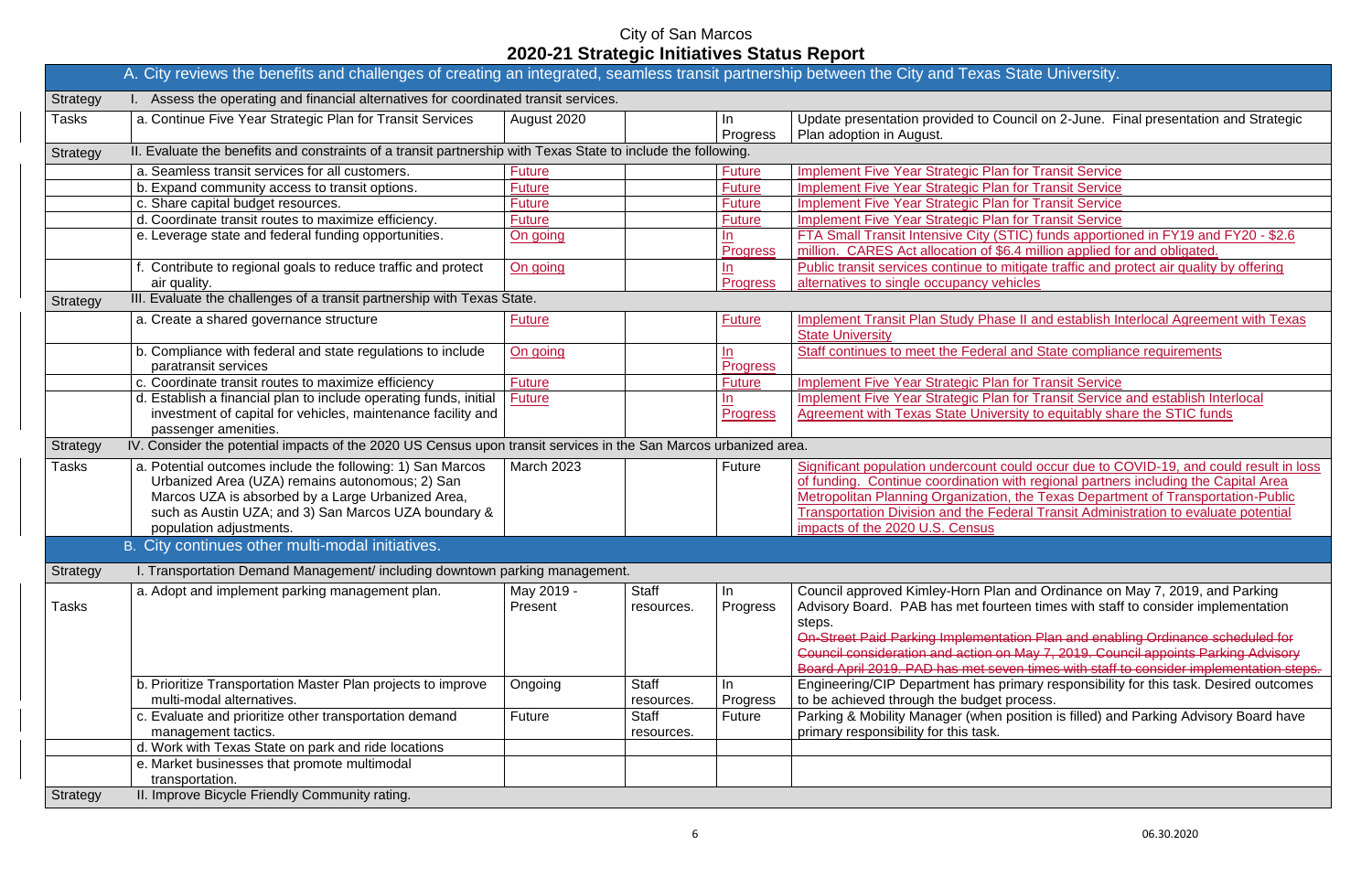|                 | A. City reviews the benefits and challenges of creating an integrated, seamless transit partnership between the City and Texas !                          |                   |                            |                                              |                                                                                         |
|-----------------|-----------------------------------------------------------------------------------------------------------------------------------------------------------|-------------------|----------------------------|----------------------------------------------|-----------------------------------------------------------------------------------------|
| <b>Strategy</b> | I. Assess the operating and financial alternatives for coordinated transit services.                                                                      |                   |                            |                                              |                                                                                         |
| Tasks           | a. Continue Five Year Strategic Plan for Transit Services                                                                                                 | August 2020       |                            | In.<br>Progress                              | Update presentation provided to Co<br>Plan adoption in August.                          |
| <b>Strategy</b> | II. Evaluate the benefits and constraints of a transit partnership with Texas State to include the following.                                             |                   |                            |                                              |                                                                                         |
|                 | a. Seamless transit services for all customers.                                                                                                           | <b>Future</b>     |                            | <b>Future</b>                                | <b>Implement Five Year Strategic Plan</b>                                               |
|                 | b. Expand community access to transit options.                                                                                                            | <b>Future</b>     |                            | <b>Future</b>                                | <b>Implement Five Year Strategic Plan</b>                                               |
|                 | c. Share capital budget resources.                                                                                                                        | <b>Future</b>     |                            | <b>Future</b>                                | <b>Implement Five Year Strategic Plan</b>                                               |
|                 | d. Coordinate transit routes to maximize efficiency.                                                                                                      | <b>Future</b>     |                            | <b>Future</b>                                | <b>Implement Five Year Strategic Plan</b>                                               |
|                 | e. Leverage state and federal funding opportunities.                                                                                                      | On going          |                            | $\mathbf{\underline{In}}$<br><b>Progress</b> | <b>FTA Small Transit Intensive City (S)</b><br>million. CARES Act allocation of \$6     |
|                 | f. Contribute to regional goals to reduce traffic and protect<br>air quality.                                                                             | On going          |                            | In<br><b>Progress</b>                        | Public transit services continue to m<br>alternatives to single occupancy vel           |
|                 | III. Evaluate the challenges of a transit partnership with Texas State.                                                                                   |                   |                            |                                              |                                                                                         |
| <b>Strategy</b> |                                                                                                                                                           |                   |                            |                                              |                                                                                         |
|                 | a. Create a shared governance structure                                                                                                                   | <b>Future</b>     |                            | <b>Future</b>                                | <b>Implement Transit Plan Study Phas</b><br><b>State University</b>                     |
|                 | b. Compliance with federal and state regulations to include<br>paratransit services                                                                       | <u>On going</u>   |                            | $\ln$<br><b>Progress</b>                     | <b>Staff continues to meet the Federal</b>                                              |
|                 | c. Coordinate transit routes to maximize efficiency                                                                                                       | <b>Future</b>     |                            | <b>Future</b>                                | <b>Implement Five Year Strategic Plan</b>                                               |
|                 | d. Establish a financial plan to include operating funds, initial<br>investment of capital for vehicles, maintenance facility and<br>passenger amenities. | <b>Future</b>     |                            | In<br><b>Progress</b>                        | <b>Implement Five Year Strategic Plan</b><br><b>Agreement with Texas State Univer</b>   |
| <b>Strategy</b> | IV. Consider the potential impacts of the 2020 US Census upon transit services in the San Marcos urbanized area.                                          |                   |                            |                                              |                                                                                         |
| Tasks           | a. Potential outcomes include the following: 1) San Marcos                                                                                                | <b>March 2023</b> |                            | <b>Future</b>                                | Significant population undercount c                                                     |
|                 | Urbanized Area (UZA) remains autonomous; 2) San                                                                                                           |                   |                            |                                              | of funding. Continue coordination v                                                     |
|                 | Marcos UZA is absorbed by a Large Urbanized Area,                                                                                                         |                   |                            |                                              | <b>Metropolitan Planning Organization</b>                                               |
|                 | such as Austin UZA; and 3) San Marcos UZA boundary &                                                                                                      |                   |                            |                                              | <b>Transportation Division and the Fed</b>                                              |
|                 | population adjustments.                                                                                                                                   |                   |                            |                                              | impacts of the 2020 U.S. Census                                                         |
|                 | B. City continues other multi-modal initiatives.                                                                                                          |                   |                            |                                              |                                                                                         |
| <b>Strategy</b> | I. Transportation Demand Management/ including downtown parking management.                                                                               |                   |                            |                                              |                                                                                         |
|                 | a. Adopt and implement parking management plan.                                                                                                           | May 2019 -        | <b>Staff</b>               | In                                           | Council approved Kimley-Horn Plar                                                       |
| Tasks           |                                                                                                                                                           | Present           | resources.                 | Progress                                     | Advisory Board. PAB has met fourt<br>steps.<br><b>On-Street Paid Parking Implementa</b> |
|                 |                                                                                                                                                           |                   |                            |                                              | Council consideration and action or<br>Board April 2019. PAD has met sev                |
|                 | b. Prioritize Transportation Master Plan projects to improve                                                                                              | Ongoing           | <b>Staff</b>               | In.                                          | Engineering/CIP Department has pr                                                       |
|                 | multi-modal alternatives.                                                                                                                                 |                   | resources.                 | Progress                                     | to be achieved through the budget                                                       |
|                 | c. Evaluate and prioritize other transportation demand<br>management tactics.                                                                             | <b>Future</b>     | <b>Staff</b><br>resources. | Future                                       | Parking & Mobility Manager (when )<br>primary responsibility for this task.             |
|                 | d. Work with Texas State on park and ride locations                                                                                                       |                   |                            |                                              |                                                                                         |
|                 | e. Market businesses that promote multimodal<br>transportation.                                                                                           |                   |                            |                                              |                                                                                         |
| <b>Strategy</b> | II. Improve Bicycle Friendly Community rating.                                                                                                            |                   |                            |                                              |                                                                                         |

#### **State University.**

buncil on 2-June. Final presentation and Strategic

for Transit Service

for Transit Service

for Transit Service

for Transit Service

TIC) funds apportioned in FY19 and FY20 - \$2.6

6.4 million applied for and obligated.

nitigate traffic and protect air quality by offering hicles **to** 

a II and establish Interlocal Agreement with Texas

and State compliance requirements

for Transit Service

**Ifor Transit Service and establish Interlocal** rsity to equitably share the STIC funds

could occur due to COVID-19, and could result in loss with regional partners including the Capital Area , the Texas Department of Transportation-Public **Jeral Transit Administration to evaluate potential** 

n and Ordinance on May 7, 2019, and Parking teen times with staff to consider implementation

ation-Plan and enabling Ordinance scheduled for n May 7, 2019. Council appoints Parking Advisory  $\epsilon$   $\epsilon$  and times with staff to consider implementation steps. rimary responsibility for this task. Desired outcomes

process.

position is filled) and Parking Advisory Board have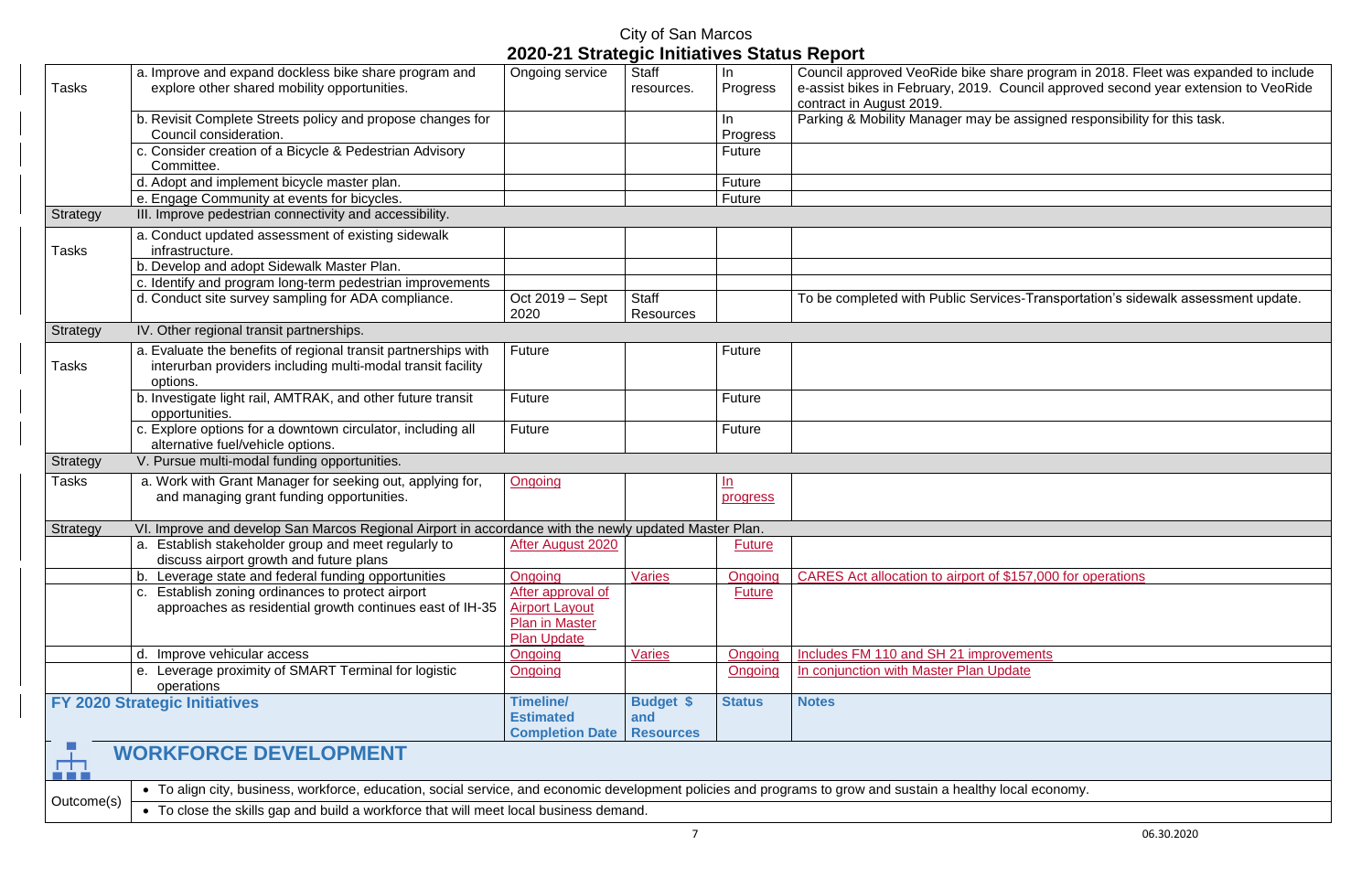| Council approved VeoRide bike share program in 2018. Fleet was expanded to include  |
|-------------------------------------------------------------------------------------|
| e-assist bikes in February, 2019. Council approved second year extension to VeoRide |

e assigned responsibility for this task.

ces-Transportation's sidewalk assessment update.

\$157,000 for operations

|            | a. Improve and expand dockless bike share program and                                                                                                                                                                                                 | Ongoing service                                                                           | <b>Staff</b>                         | In                    | Council approved VeoRide bike share program ir                               |
|------------|-------------------------------------------------------------------------------------------------------------------------------------------------------------------------------------------------------------------------------------------------------|-------------------------------------------------------------------------------------------|--------------------------------------|-----------------------|------------------------------------------------------------------------------|
| Tasks      | explore other shared mobility opportunities.                                                                                                                                                                                                          |                                                                                           | resources.                           | Progress              | e-assist bikes in February, 2019. Council approv<br>contract in August 2019. |
|            | b. Revisit Complete Streets policy and propose changes for<br>Council consideration.                                                                                                                                                                  |                                                                                           |                                      | In.<br>Progress       | Parking & Mobility Manager may be assigned res                               |
|            | c. Consider creation of a Bicycle & Pedestrian Advisory<br>Committee.                                                                                                                                                                                 |                                                                                           |                                      | Future                |                                                                              |
|            | d. Adopt and implement bicycle master plan.                                                                                                                                                                                                           |                                                                                           |                                      | Future                |                                                                              |
|            | e. Engage Community at events for bicycles.                                                                                                                                                                                                           |                                                                                           |                                      | Future                |                                                                              |
| Strategy   | III. Improve pedestrian connectivity and accessibility.                                                                                                                                                                                               |                                                                                           |                                      |                       |                                                                              |
| Tasks      | a. Conduct updated assessment of existing sidewalk<br>infrastructure.                                                                                                                                                                                 |                                                                                           |                                      |                       |                                                                              |
|            | b. Develop and adopt Sidewalk Master Plan.                                                                                                                                                                                                            |                                                                                           |                                      |                       |                                                                              |
|            | c. Identify and program long-term pedestrian improvements                                                                                                                                                                                             |                                                                                           |                                      |                       |                                                                              |
|            | d. Conduct site survey sampling for ADA compliance.                                                                                                                                                                                                   | Oct 2019 – Sept<br>2020                                                                   | <b>Staff</b><br><b>Resources</b>     |                       | To be completed with Public Services-Transporta                              |
| Strategy   | IV. Other regional transit partnerships.                                                                                                                                                                                                              |                                                                                           |                                      |                       |                                                                              |
| Tasks      | a. Evaluate the benefits of regional transit partnerships with<br>interurban providers including multi-modal transit facility<br>options.                                                                                                             | Future                                                                                    |                                      | <b>Future</b>         |                                                                              |
|            | b. Investigate light rail, AMTRAK, and other future transit<br>opportunities.                                                                                                                                                                         | Future                                                                                    |                                      | Future                |                                                                              |
|            | c. Explore options for a downtown circulator, including all<br>alternative fuel/vehicle options.                                                                                                                                                      | Future                                                                                    |                                      | Future                |                                                                              |
| Strategy   | V. Pursue multi-modal funding opportunities.                                                                                                                                                                                                          |                                                                                           |                                      |                       |                                                                              |
| Tasks      | a. Work with Grant Manager for seeking out, applying for,<br>and managing grant funding opportunities.                                                                                                                                                | Ongoing                                                                                   |                                      | <u>In</u><br>progress |                                                                              |
| Strategy   | VI. Improve and develop San Marcos Regional Airport in accordance with the newly updated Master Plan.                                                                                                                                                 |                                                                                           |                                      |                       |                                                                              |
|            | a. Establish stakeholder group and meet regularly to<br>discuss airport growth and future plans                                                                                                                                                       | After August 2020                                                                         |                                      | <b>Future</b>         |                                                                              |
|            | b. Leverage state and federal funding opportunities                                                                                                                                                                                                   | Ongoing                                                                                   | <b>Varies</b>                        | Ongoing               | CARES Act allocation to airport of \$157,000 for o                           |
|            | c. Establish zoning ordinances to protect airport<br>approaches as residential growth continues east of IH-35                                                                                                                                         | After approval of<br><b>Airport Layout</b><br><b>Plan in Master</b><br><b>Plan Update</b> |                                      | <b>Future</b>         |                                                                              |
|            | Improve vehicular access                                                                                                                                                                                                                              | Ongoing                                                                                   | <b>Varies</b>                        | Ongoing               | Includes FM 110 and SH 21 improvements                                       |
|            | e. Leverage proximity of SMART Terminal for logistic<br>operations                                                                                                                                                                                    | Ongoing                                                                                   |                                      | Ongoing               | In conjunction with Master Plan Update                                       |
|            | <b>FY 2020 Strategic Initiatives</b>                                                                                                                                                                                                                  | <b>Timeline/</b><br><b>Estimated</b><br><b>Completion Date</b>                            | Budget \$<br>and<br><b>Resources</b> | <b>Status</b>         | <b>Notes</b>                                                                 |
| <b>TTT</b> | <b>WORKFORCE DEVELOPMENT</b>                                                                                                                                                                                                                          |                                                                                           |                                      |                       |                                                                              |
| Outcome(s) | • To align city, business, workforce, education, social service, and economic development policies and programs to grow and sustain a healthy local economy.<br>• To close the skills gap and build a workforce that will meet local business demand. |                                                                                           |                                      |                       |                                                                              |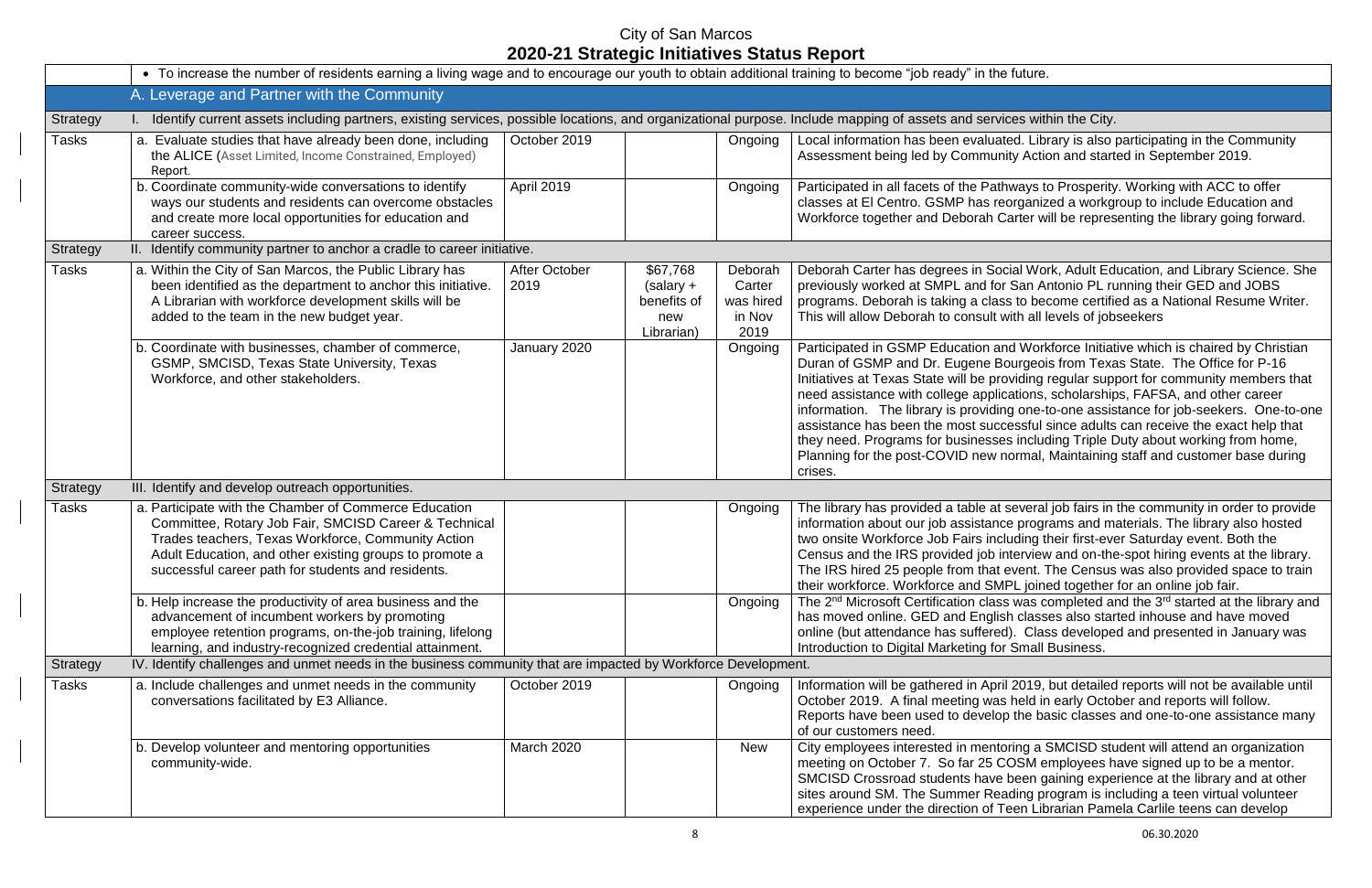|              | • To increase the number of residents earning a living wage and to encourage our youth to obtain additional training to become "job ready" in the future.                                                                                                                             |                       |                                                             |                                                  |                                                                                                                                                                                                                                                                                                                                                                                                                                                                             |
|--------------|---------------------------------------------------------------------------------------------------------------------------------------------------------------------------------------------------------------------------------------------------------------------------------------|-----------------------|-------------------------------------------------------------|--------------------------------------------------|-----------------------------------------------------------------------------------------------------------------------------------------------------------------------------------------------------------------------------------------------------------------------------------------------------------------------------------------------------------------------------------------------------------------------------------------------------------------------------|
|              | A. Leverage and Partner with the Community                                                                                                                                                                                                                                            |                       |                                                             |                                                  |                                                                                                                                                                                                                                                                                                                                                                                                                                                                             |
| Strategy     | Identify current assets including partners, existing services, possible locations, and organizational purpose. Include mapping of assets and services within the City.                                                                                                                |                       |                                                             |                                                  |                                                                                                                                                                                                                                                                                                                                                                                                                                                                             |
| <b>Tasks</b> | a. Evaluate studies that have already been done, including<br>the ALICE (Asset Limited, Income Constrained, Employed)<br>Report.                                                                                                                                                      | October 2019          |                                                             | Ongoing                                          | Local information has been evaluated. Library is also<br>Assessment being led by Community Action and start                                                                                                                                                                                                                                                                                                                                                                 |
|              | b. Coordinate community-wide conversations to identify<br>ways our students and residents can overcome obstacles<br>and create more local opportunities for education and<br>career success.                                                                                          | April 2019            |                                                             | Ongoing                                          | Participated in all facets of the Pathways to Prosperity<br>classes at El Centro. GSMP has reorganized a workg<br>Workforce together and Deborah Carter will be repres                                                                                                                                                                                                                                                                                                      |
| Strategy     | II. Identify community partner to anchor a cradle to career initiative.                                                                                                                                                                                                               |                       |                                                             |                                                  |                                                                                                                                                                                                                                                                                                                                                                                                                                                                             |
| <b>Tasks</b> | a. Within the City of San Marcos, the Public Library has<br>been identified as the department to anchor this initiative.<br>A Librarian with workforce development skills will be<br>added to the team in the new budget year.                                                        | After October<br>2019 | \$67,768<br>$(salary +$<br>benefits of<br>new<br>Librarian) | Deborah<br>Carter<br>was hired<br>in Nov<br>2019 | Deborah Carter has degrees in Social Work, Adult Ed<br>previously worked at SMPL and for San Antonio PL ru<br>programs. Deborah is taking a class to become certifi-<br>This will allow Deborah to consult with all levels of job                                                                                                                                                                                                                                           |
|              | b. Coordinate with businesses, chamber of commerce,<br>GSMP, SMCISD, Texas State University, Texas<br>Workforce, and other stakeholders.                                                                                                                                              | January 2020          |                                                             | Ongoing                                          | Participated in GSMP Education and Workforce Initiat<br>Duran of GSMP and Dr. Eugene Bourgeois from Texa<br>Initiatives at Texas State will be providing regular sup<br>need assistance with college applications, scholarship<br>information. The library is providing one-to-one assis<br>assistance has been the most successful since adults<br>they need. Programs for businesses including Triple D<br>Planning for the post-COVID new normal, Maintaining<br>crises. |
| Strategy     | III. Identify and develop outreach opportunities.                                                                                                                                                                                                                                     |                       |                                                             |                                                  |                                                                                                                                                                                                                                                                                                                                                                                                                                                                             |
| <b>Tasks</b> | a. Participate with the Chamber of Commerce Education<br>Committee, Rotary Job Fair, SMCISD Career & Technical<br>Trades teachers, Texas Workforce, Community Action<br>Adult Education, and other existing groups to promote a<br>successful career path for students and residents. |                       |                                                             | Ongoing                                          | The library has provided a table at several job fairs in<br>information about our job assistance programs and m<br>two onsite Workforce Job Fairs including their first-eve<br>Census and the IRS provided job interview and on-the<br>The IRS hired 25 people from that event. The Census<br>their workforce. Workforce and SMPL joined together                                                                                                                           |
|              | b. Help increase the productivity of area business and the<br>advancement of incumbent workers by promoting<br>employee retention programs, on-the-job training, lifelong<br>learning, and industry-recognized credential attainment.                                                 |                       |                                                             | Ongoing                                          | The 2 <sup>nd</sup> Microsoft Certification class was completed a<br>has moved online. GED and English classes also star<br>online (but attendance has suffered). Class develope<br>Introduction to Digital Marketing for Small Business.                                                                                                                                                                                                                                   |
| Strategy     | IV. Identify challenges and unmet needs in the business community that are impacted by Workforce Development.                                                                                                                                                                         |                       |                                                             |                                                  |                                                                                                                                                                                                                                                                                                                                                                                                                                                                             |
| <b>Tasks</b> | a. Include challenges and unmet needs in the community<br>conversations facilitated by E3 Alliance.                                                                                                                                                                                   | October 2019          |                                                             | Ongoing                                          | Information will be gathered in April 2019, but detailed<br>October 2019. A final meeting was held in early Octo<br>Reports have been used to develop the basic classes<br>of our customers need.                                                                                                                                                                                                                                                                           |
|              | b. Develop volunteer and mentoring opportunities<br>community-wide.                                                                                                                                                                                                                   | <b>March 2020</b>     |                                                             | <b>New</b>                                       | City employees interested in mentoring a SMCISD stu<br>meeting on October 7. So far 25 COSM employees h<br>SMCISD Crossroad students have been gaining expe<br>sites around SM. The Summer Reading program is in<br>experience under the direction of Teen Librarian Pam                                                                                                                                                                                                    |

ted. Library is also participating in the Community ity Action and started in September 2019.

hways to Prosperity. Working with ACC to offer corganized a workgroup to include Education and arter will be representing the library going forward.

cial Work, Adult Education, and Library Science. She San Antonio PL running their GED and JOBS s to become certified as a National Resume Writer. vith all levels of jobseekers

Id Workforce Initiative which is chaired by Christian ourgeois from Texas State. The Office for P-16 ividing regular support for community members that cations, scholarships, FAFSA, and other career ig one-to-one assistance for job-seekers. One-to-one cessful since adults can receive the exact help that is including Triple Duty about working from home, normal, Maintaining staff and customer base during

several job fairs in the community in order to provide e programs and materials. The library also hosted luding their first-ever Saturday event. Both the nterview and on-the-spot hiring events at the library. event. The Census was also provided space to train PL joined together for an online job fair.

Ongoing  $\parallel$  The 2<sup>nd</sup> Microsoft Certification class was completed and the 3<sup>rd</sup> started at the library and h classes also started inhouse and have moved d). Class developed and presented in January was **Small Business.** 

> 2019, but detailed reports will not be available until held in early October and reports will follow. the basic classes and one-to-one assistance many

Ioring a SMCISD student will attend an organization OSM employees have signed up to be a mentor. been gaining experience at the library and at other ading program is including a teen virtual volunteer een Librarian Pamela Carlile teens can develop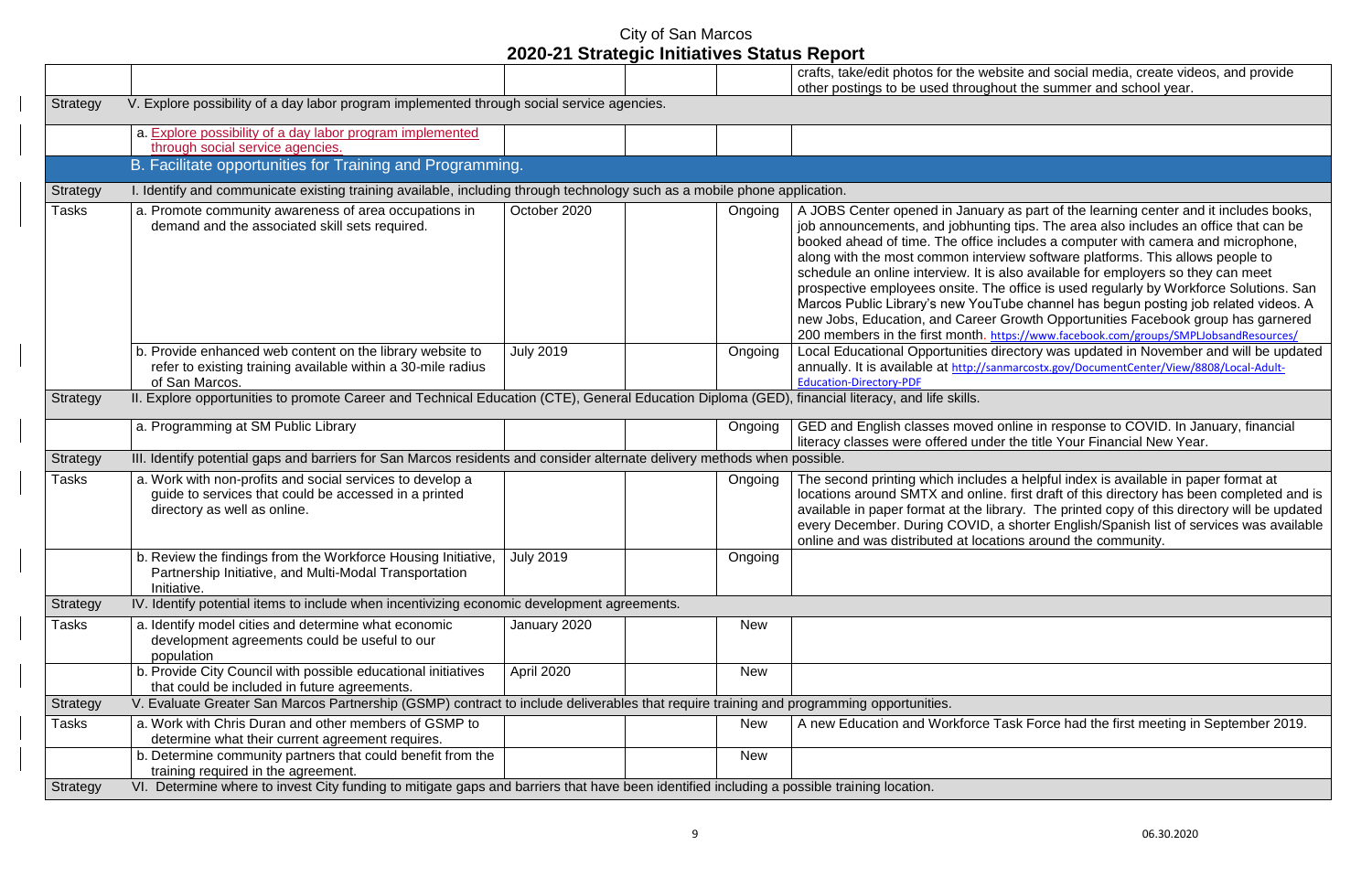|                 |                                                                                                                                                    |                  |            | crafts, take/edit photos for the webs<br>other postings to be used throughou                                                                                                                                                                                                                                                                            |
|-----------------|----------------------------------------------------------------------------------------------------------------------------------------------------|------------------|------------|---------------------------------------------------------------------------------------------------------------------------------------------------------------------------------------------------------------------------------------------------------------------------------------------------------------------------------------------------------|
| <b>Strategy</b> | V. Explore possibility of a day labor program implemented through social service agencies.                                                         |                  |            |                                                                                                                                                                                                                                                                                                                                                         |
|                 | a. Explore possibility of a day labor program implemented<br>through social service agencies.                                                      |                  |            |                                                                                                                                                                                                                                                                                                                                                         |
|                 | B. Facilitate opportunities for Training and Programming.                                                                                          |                  |            |                                                                                                                                                                                                                                                                                                                                                         |
| Strategy        | I. Identify and communicate existing training available, including through technology such as a mobile phone application.                          |                  |            |                                                                                                                                                                                                                                                                                                                                                         |
| <b>Tasks</b>    | a. Promote community awareness of area occupations in<br>demand and the associated skill sets required.                                            | October 2020     | Ongoing    | A JOBS Center opened in January a<br>job announcements, and jobhunting<br>booked ahead of time. The office in<br>along with the most common intervio<br>schedule an online interview. It is als<br>prospective employees onsite. The<br>Marcos Public Library's new YouTul<br>new Jobs, Education, and Career G<br>200 members in the first month. http |
|                 | b. Provide enhanced web content on the library website to<br>refer to existing training available within a 30-mile radius<br>of San Marcos.        | <b>July 2019</b> | Ongoing    | <b>Local Educational Opportunities dire</b><br>annually. It is available at http://sanm<br><b>Education-Directory-PDF</b>                                                                                                                                                                                                                               |
| <b>Strategy</b> | II. Explore opportunities to promote Career and Technical Education (CTE), General Education Diploma (GED), financial literacy, and life skills.   |                  |            |                                                                                                                                                                                                                                                                                                                                                         |
|                 | a. Programming at SM Public Library                                                                                                                |                  | Ongoing    | GED and English classes moved or<br>literacy classes were offered under                                                                                                                                                                                                                                                                                 |
| Strategy        | III. Identify potential gaps and barriers for San Marcos residents and consider alternate delivery methods when possible.                          |                  |            |                                                                                                                                                                                                                                                                                                                                                         |
| <b>Tasks</b>    | a. Work with non-profits and social services to develop a<br>guide to services that could be accessed in a printed<br>directory as well as online. |                  | Ongoing    | The second printing which includes<br>locations around SMTX and online.<br>available in paper format at the libra<br>every December. During COVID, a<br>online and was distributed at locatio                                                                                                                                                           |
|                 | b. Review the findings from the Workforce Housing Initiative,<br>Partnership Initiative, and Multi-Modal Transportation<br>Initiative.             | <b>July 2019</b> | Ongoing    |                                                                                                                                                                                                                                                                                                                                                         |
| <b>Strategy</b> | IV. Identify potential items to include when incentivizing economic development agreements.                                                        |                  |            |                                                                                                                                                                                                                                                                                                                                                         |
| <b>Tasks</b>    | a. Identify model cities and determine what economic<br>development agreements could be useful to our<br>population                                | January 2020     | <b>New</b> |                                                                                                                                                                                                                                                                                                                                                         |
|                 | b. Provide City Council with possible educational initiatives<br>that could be included in future agreements.                                      | April 2020       | <b>New</b> |                                                                                                                                                                                                                                                                                                                                                         |
| <b>Strategy</b> | V. Evaluate Greater San Marcos Partnership (GSMP) contract to include deliverables that require training and programming opportunities.            |                  |            |                                                                                                                                                                                                                                                                                                                                                         |
| <b>Tasks</b>    | a. Work with Chris Duran and other members of GSMP to<br>determine what their current agreement requires.                                          |                  | <b>New</b> | A new Education and Workforce Ta                                                                                                                                                                                                                                                                                                                        |
|                 | b. Determine community partners that could benefit from the<br>training required in the agreement.                                                 |                  | <b>New</b> |                                                                                                                                                                                                                                                                                                                                                         |
| <b>Strategy</b> | VI. Determine where to invest City funding to mitigate gaps and barriers that have been identified including a possible training location.         |                  |            |                                                                                                                                                                                                                                                                                                                                                         |

ite and social media, create videos, and provide ut the summer and school year.

as part of the learning center and it includes books,  $\frac{1}{2}$  in tips. The area also includes an office that can be  $\overline{\text{b}}$  cludes a computer with camera and microphone, iew software platforms. This allows people to Iso available for employers so they can meet office is used regularly by Workforce Solutions. San be channel has begun posting job related videos. A Frowth Opportunities Facebook group has garnered 200 members in the first months in the first monoment months in the first monoment of the first monoment of th<br>SMPLJ observed the first monoment of the first monoment of the first monoment of the first monoment of the fir ectory was updated in November and will be updated narcostx.gov/DocumentCenter/View/8808/Local-Adult-

hline in response to COVID. In January, financial the title Your Financial New Year.

a helpful index is available in paper format at first draft of this directory has been completed and is ary. The printed copy of this directory will be updated shorter English/Spanish list of services was available ons around the community.

Isk Force had the first meeting in September 2019.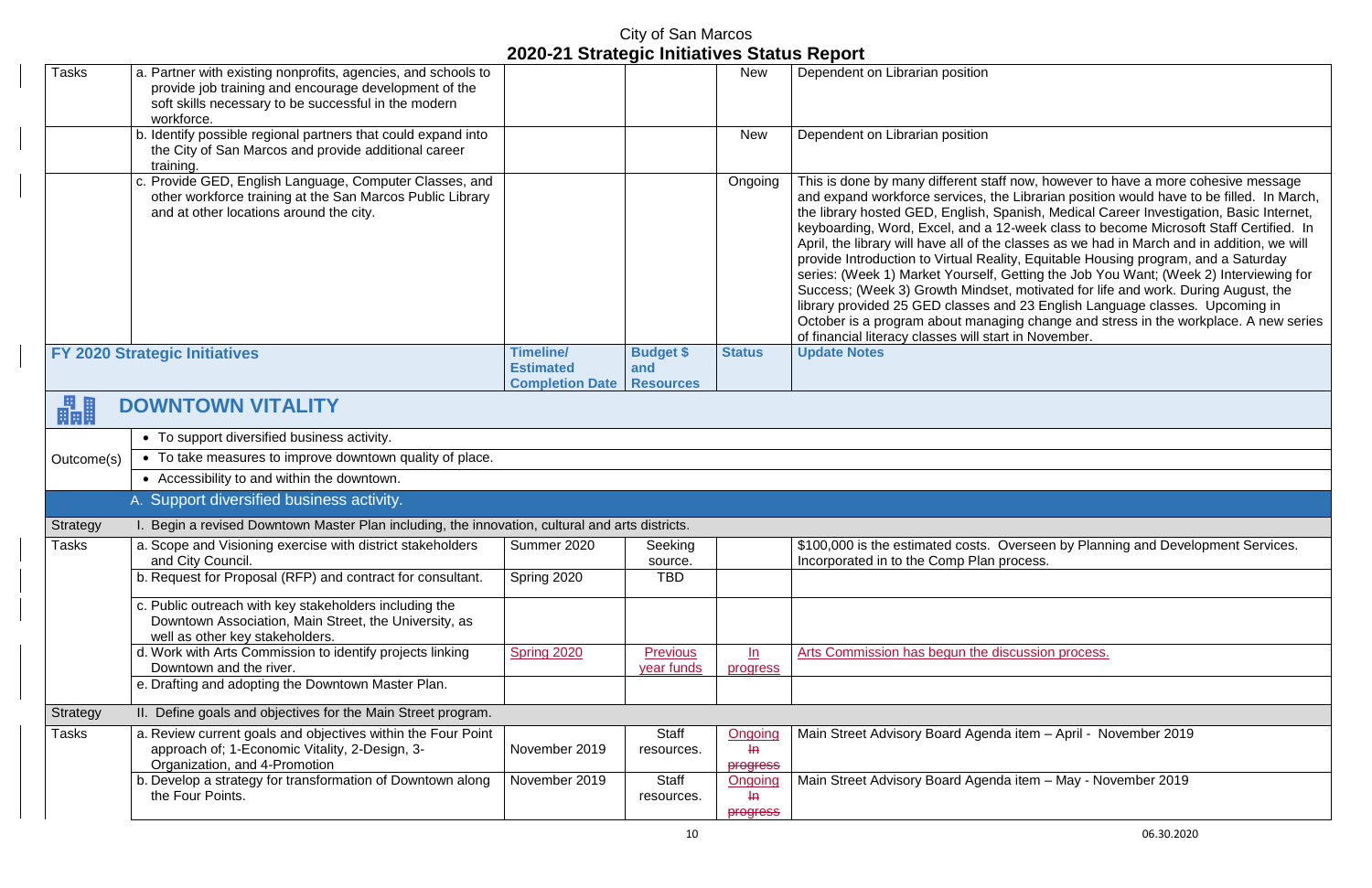| <b>Tasks</b> | a. Partner with existing nonprofits, agencies, and schools to<br>provide job training and encourage development of the<br>soft skills necessary to be successful in the modern<br>workforce. |                                                                |                                             | <b>New</b>                                   | Dependent on Librarian position                                                                                                                                                                                                                                                                                                                                                                                                                                                                                                                                                                                                                                                                                                                                                                                                                                                                                                                             |
|--------------|----------------------------------------------------------------------------------------------------------------------------------------------------------------------------------------------|----------------------------------------------------------------|---------------------------------------------|----------------------------------------------|-------------------------------------------------------------------------------------------------------------------------------------------------------------------------------------------------------------------------------------------------------------------------------------------------------------------------------------------------------------------------------------------------------------------------------------------------------------------------------------------------------------------------------------------------------------------------------------------------------------------------------------------------------------------------------------------------------------------------------------------------------------------------------------------------------------------------------------------------------------------------------------------------------------------------------------------------------------|
|              | b. Identify possible regional partners that could expand into<br>the City of San Marcos and provide additional career<br>training.                                                           |                                                                |                                             | <b>New</b>                                   | Dependent on Librarian position                                                                                                                                                                                                                                                                                                                                                                                                                                                                                                                                                                                                                                                                                                                                                                                                                                                                                                                             |
|              | c. Provide GED, English Language, Computer Classes, and<br>other workforce training at the San Marcos Public Library<br>and at other locations around the city.                              |                                                                |                                             | Ongoing                                      | This is done by many different staff now, however to have a more cohesive message<br>and expand workforce services, the Librarian position would have to be filled. In Mard<br>the library hosted GED, English, Spanish, Medical Career Investigation, Basic Interne<br>keyboarding, Word, Excel, and a 12-week class to become Microsoft Staff Certified.  <br>April, the library will have all of the classes as we had in March and in addition, we wil<br>provide Introduction to Virtual Reality, Equitable Housing program, and a Saturday<br>series: (Week 1) Market Yourself, Getting the Job You Want; (Week 2) Interviewing fo<br>Success; (Week 3) Growth Mindset, motivated for life and work. During August, the<br>library provided 25 GED classes and 23 English Language classes. Upcoming in<br>October is a program about managing change and stress in the workplace. A new ser<br>of financial literacy classes will start in November. |
|              | <b>FY 2020 Strategic Initiatives</b>                                                                                                                                                         | <b>Timeline/</b><br><b>Estimated</b><br><b>Completion Date</b> | <b>Budget \$</b><br>and<br><b>Resources</b> | <b>Status</b>                                | <b>Update Notes</b>                                                                                                                                                                                                                                                                                                                                                                                                                                                                                                                                                                                                                                                                                                                                                                                                                                                                                                                                         |
| 畾            | <b>DOWNTOWN VITALITY</b>                                                                                                                                                                     |                                                                |                                             |                                              |                                                                                                                                                                                                                                                                                                                                                                                                                                                                                                                                                                                                                                                                                                                                                                                                                                                                                                                                                             |
|              | • To support diversified business activity.                                                                                                                                                  |                                                                |                                             |                                              |                                                                                                                                                                                                                                                                                                                                                                                                                                                                                                                                                                                                                                                                                                                                                                                                                                                                                                                                                             |
| Outcome(s)   | • To take measures to improve downtown quality of place.                                                                                                                                     |                                                                |                                             |                                              |                                                                                                                                                                                                                                                                                                                                                                                                                                                                                                                                                                                                                                                                                                                                                                                                                                                                                                                                                             |
|              | • Accessibility to and within the downtown.                                                                                                                                                  |                                                                |                                             |                                              |                                                                                                                                                                                                                                                                                                                                                                                                                                                                                                                                                                                                                                                                                                                                                                                                                                                                                                                                                             |
|              | A. Support diversified business activity.                                                                                                                                                    |                                                                |                                             |                                              |                                                                                                                                                                                                                                                                                                                                                                                                                                                                                                                                                                                                                                                                                                                                                                                                                                                                                                                                                             |
| Strategy     | Begin a revised Downtown Master Plan including, the innovation, cultural and arts districts.                                                                                                 |                                                                |                                             |                                              |                                                                                                                                                                                                                                                                                                                                                                                                                                                                                                                                                                                                                                                                                                                                                                                                                                                                                                                                                             |
| Tasks        | a. Scope and Visioning exercise with district stakeholders<br>and City Council.                                                                                                              | Summer 2020                                                    | Seeking<br>source.                          |                                              | \$100,000 is the estimated costs. Overseen by Planning and Development Services.<br>Incorporated in to the Comp Plan process.                                                                                                                                                                                                                                                                                                                                                                                                                                                                                                                                                                                                                                                                                                                                                                                                                               |
|              | b. Request for Proposal (RFP) and contract for consultant.                                                                                                                                   | Spring 2020                                                    | <b>TBD</b>                                  |                                              |                                                                                                                                                                                                                                                                                                                                                                                                                                                                                                                                                                                                                                                                                                                                                                                                                                                                                                                                                             |
|              | c. Public outreach with key stakeholders including the<br>Downtown Association, Main Street, the University, as<br>well as other key stakeholders.                                           |                                                                |                                             |                                              |                                                                                                                                                                                                                                                                                                                                                                                                                                                                                                                                                                                                                                                                                                                                                                                                                                                                                                                                                             |
|              | d. Work with Arts Commission to identify projects linking<br>Downtown and the river.                                                                                                         | Spring 2020                                                    | <b>Previous</b><br>year funds               | ln<br>progress                               | Arts Commission has begun the discussion process.                                                                                                                                                                                                                                                                                                                                                                                                                                                                                                                                                                                                                                                                                                                                                                                                                                                                                                           |
|              | e. Drafting and adopting the Downtown Master Plan.                                                                                                                                           |                                                                |                                             |                                              |                                                                                                                                                                                                                                                                                                                                                                                                                                                                                                                                                                                                                                                                                                                                                                                                                                                                                                                                                             |
| Strategy     | II. Define goals and objectives for the Main Street program.                                                                                                                                 |                                                                |                                             |                                              |                                                                                                                                                                                                                                                                                                                                                                                                                                                                                                                                                                                                                                                                                                                                                                                                                                                                                                                                                             |
| Tasks        | a. Review current goals and objectives within the Four Point<br>approach of; 1-Economic Vitality, 2-Design, 3-<br>Organization, and 4-Promotion                                              | November 2019                                                  | Staff<br>resources.                         | <b>Ongoing</b><br>H <sub>2</sub><br>progress | Main Street Advisory Board Agenda item - April - November 2019                                                                                                                                                                                                                                                                                                                                                                                                                                                                                                                                                                                                                                                                                                                                                                                                                                                                                              |
|              | b. Develop a strategy for transformation of Downtown along<br>the Four Points.                                                                                                               | November 2019                                                  | <b>Staff</b><br>resources.                  | Ongoing<br>$H\Theta$<br>progress             | Main Street Advisory Board Agenda item - May - November 2019                                                                                                                                                                                                                                                                                                                                                                                                                                                                                                                                                                                                                                                                                                                                                                                                                                                                                                |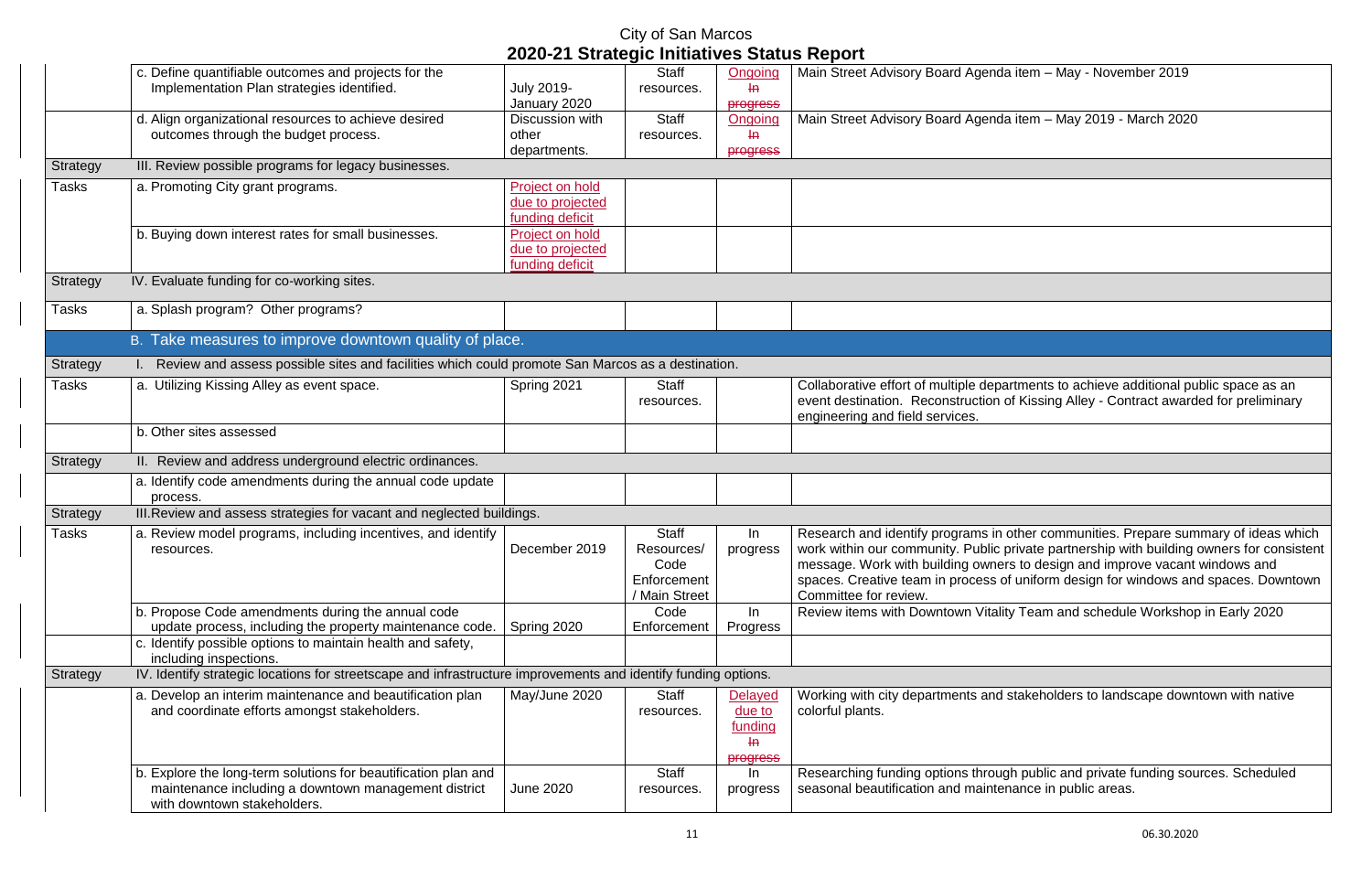|                 |                                                                                                                                                       | 2020-21 Strategic Initiatives Status Report            | City of San Marcos                                                 |                                                                 |                                                                                                                                                                                                                                                                                                          |
|-----------------|-------------------------------------------------------------------------------------------------------------------------------------------------------|--------------------------------------------------------|--------------------------------------------------------------------|-----------------------------------------------------------------|----------------------------------------------------------------------------------------------------------------------------------------------------------------------------------------------------------------------------------------------------------------------------------------------------------|
|                 | c. Define quantifiable outcomes and projects for the<br>Implementation Plan strategies identified.                                                    | <b>July 2019-</b><br>January 2020                      | <b>Staff</b><br>resources.                                         | Ongoing<br>-le<br><b>progress</b>                               | Main Street Advisory Board Agenda item - May - November 2019                                                                                                                                                                                                                                             |
|                 | d. Align organizational resources to achieve desired<br>outcomes through the budget process.                                                          | Discussion with<br>other<br>departments.               | <b>Staff</b><br>resources.                                         | Ongoing<br>$H\rightarrow$<br><b>progress</b>                    | Main Street Advisory Board Agenda item - May 2019 - March 2020                                                                                                                                                                                                                                           |
| Strategy        | III. Review possible programs for legacy businesses.                                                                                                  |                                                        |                                                                    |                                                                 |                                                                                                                                                                                                                                                                                                          |
| <b>Tasks</b>    | a. Promoting City grant programs.                                                                                                                     | Project on hold<br>due to projected<br>funding deficit |                                                                    |                                                                 |                                                                                                                                                                                                                                                                                                          |
|                 | b. Buying down interest rates for small businesses.                                                                                                   | Project on hold<br>due to projected<br>funding deficit |                                                                    |                                                                 |                                                                                                                                                                                                                                                                                                          |
| Strategy        | IV. Evaluate funding for co-working sites.                                                                                                            |                                                        |                                                                    |                                                                 |                                                                                                                                                                                                                                                                                                          |
| <b>Tasks</b>    | a. Splash program? Other programs?                                                                                                                    |                                                        |                                                                    |                                                                 |                                                                                                                                                                                                                                                                                                          |
|                 | B. Take measures to improve downtown quality of place.                                                                                                |                                                        |                                                                    |                                                                 |                                                                                                                                                                                                                                                                                                          |
| Strategy        | I. Review and assess possible sites and facilities which could promote San Marcos as a destination.                                                   |                                                        |                                                                    |                                                                 |                                                                                                                                                                                                                                                                                                          |
| <b>Tasks</b>    | a. Utilizing Kissing Alley as event space.                                                                                                            | Spring 2021                                            | <b>Staff</b><br>resources.                                         |                                                                 | Collaborative effort of multiple departments to achieve additional pu<br>event destination. Reconstruction of Kissing Alley - Contract award<br>engineering and field services.                                                                                                                          |
|                 | b. Other sites assessed                                                                                                                               |                                                        |                                                                    |                                                                 |                                                                                                                                                                                                                                                                                                          |
| <b>Strategy</b> | II. Review and address underground electric ordinances.                                                                                               |                                                        |                                                                    |                                                                 |                                                                                                                                                                                                                                                                                                          |
|                 | a. Identify code amendments during the annual code update<br>process.                                                                                 |                                                        |                                                                    |                                                                 |                                                                                                                                                                                                                                                                                                          |
| Strategy        | III. Review and assess strategies for vacant and neglected buildings.                                                                                 |                                                        |                                                                    |                                                                 |                                                                                                                                                                                                                                                                                                          |
| <b>Tasks</b>    | a. Review model programs, including incentives, and identify<br>resources.                                                                            | December 2019                                          | <b>Staff</b><br>Resources/<br>Code<br>Enforcement<br>/ Main Street | In<br>progress                                                  | Research and identify programs in other communities. Prepare sum<br>work within our community. Public private partnership with building<br>message. Work with building owners to design and improve vacant<br>spaces. Creative team in process of uniform design for windows an<br>Committee for review. |
|                 | b. Propose Code amendments during the annual code<br>update process, including the property maintenance code.                                         | Spring 2020                                            | Code<br>Enforcement                                                | In.<br>Progress                                                 | Review items with Downtown Vitality Team and schedule Workshop                                                                                                                                                                                                                                           |
|                 | c. Identify possible options to maintain health and safety,<br>including inspections.                                                                 |                                                        |                                                                    |                                                                 |                                                                                                                                                                                                                                                                                                          |
| Strategy        | IV. Identify strategic locations for streetscape and infrastructure improvements and identify funding options.                                        |                                                        |                                                                    |                                                                 |                                                                                                                                                                                                                                                                                                          |
|                 | a. Develop an interim maintenance and beautification plan<br>and coordinate efforts amongst stakeholders.                                             | May/June 2020                                          | <b>Staff</b><br>resources.                                         | <b>Delayed</b><br>due to<br>funding<br>$\mathsf{H}$<br>progress | Working with city departments and stakeholders to landscape down<br>colorful plants.                                                                                                                                                                                                                     |
|                 | b. Explore the long-term solutions for beautification plan and<br>maintenance including a downtown management district<br>with downtown stakeholders. | <b>June 2020</b>                                       | <b>Staff</b><br>resources.                                         | In<br>progress                                                  | Researching funding options through public and private funding sou<br>seasonal beautification and maintenance in public areas.                                                                                                                                                                           |

| Main Street Advisory Board Agenda item - May - November 2019                                                                                                                                                                                                                                                                                                                    |
|---------------------------------------------------------------------------------------------------------------------------------------------------------------------------------------------------------------------------------------------------------------------------------------------------------------------------------------------------------------------------------|
| Main Street Advisory Board Agenda item - May 2019 - March 2020                                                                                                                                                                                                                                                                                                                  |
|                                                                                                                                                                                                                                                                                                                                                                                 |
|                                                                                                                                                                                                                                                                                                                                                                                 |
|                                                                                                                                                                                                                                                                                                                                                                                 |
|                                                                                                                                                                                                                                                                                                                                                                                 |
|                                                                                                                                                                                                                                                                                                                                                                                 |
|                                                                                                                                                                                                                                                                                                                                                                                 |
|                                                                                                                                                                                                                                                                                                                                                                                 |
| Collaborative effort of multiple departments to achieve additional public space as an<br>event destination. Reconstruction of Kissing Alley - Contract awarded for preliminary<br>engineering and field services.                                                                                                                                                               |
|                                                                                                                                                                                                                                                                                                                                                                                 |
|                                                                                                                                                                                                                                                                                                                                                                                 |
|                                                                                                                                                                                                                                                                                                                                                                                 |
|                                                                                                                                                                                                                                                                                                                                                                                 |
| Research and identify programs in other communities. Prepare summary of ideas which<br>work within our community. Public private partnership with building owners for consistent<br>message. Work with building owners to design and improve vacant windows and<br>spaces. Creative team in process of uniform design for windows and spaces. Downtown<br>Committee for review. |
| Review items with Downtown Vitality Team and schedule Workshop in Early 2020                                                                                                                                                                                                                                                                                                    |
|                                                                                                                                                                                                                                                                                                                                                                                 |
|                                                                                                                                                                                                                                                                                                                                                                                 |
| Working with city departments and stakeholders to landscape downtown with native<br>colorful plants.                                                                                                                                                                                                                                                                            |
| Researching funding options through public and private funding sources. Scheduled<br>seasonal beautification and maintenance in public areas.                                                                                                                                                                                                                                   |
|                                                                                                                                                                                                                                                                                                                                                                                 |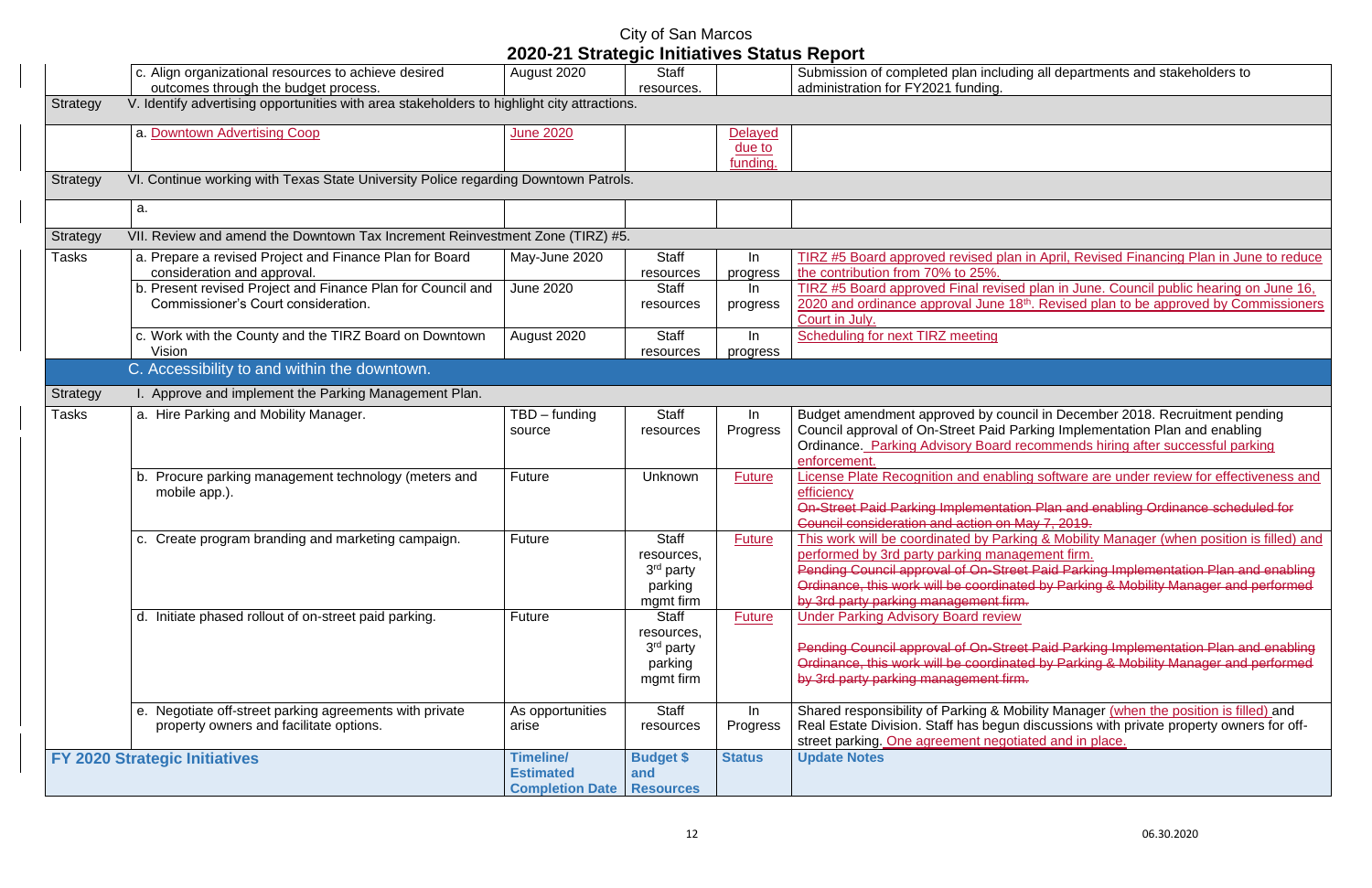# City of San Marcos

|                 |                                                                                                                                                                                              | 2020-21 Strategic Initiatives Status Report                    |                                                                             |                                      |                                                                                                                                                                                                                                                                                                                                                                      |
|-----------------|----------------------------------------------------------------------------------------------------------------------------------------------------------------------------------------------|----------------------------------------------------------------|-----------------------------------------------------------------------------|--------------------------------------|----------------------------------------------------------------------------------------------------------------------------------------------------------------------------------------------------------------------------------------------------------------------------------------------------------------------------------------------------------------------|
|                 | c. Align organizational resources to achieve desired<br>outcomes through the budget process.                                                                                                 | August 2020                                                    | Staff<br>resources.                                                         |                                      | Submission of completed plan including all departments and stakeholders to<br>administration for FY2021 funding.                                                                                                                                                                                                                                                     |
| Strategy        | V. Identify advertising opportunities with area stakeholders to highlight city attractions.                                                                                                  |                                                                |                                                                             |                                      |                                                                                                                                                                                                                                                                                                                                                                      |
|                 | a. Downtown Advertising Coop                                                                                                                                                                 | <b>June 2020</b>                                               |                                                                             | <b>Delayed</b><br>due to<br>funding. |                                                                                                                                                                                                                                                                                                                                                                      |
| <b>Strategy</b> | VI. Continue working with Texas State University Police regarding Downtown Patrols.                                                                                                          |                                                                |                                                                             |                                      |                                                                                                                                                                                                                                                                                                                                                                      |
|                 | a.                                                                                                                                                                                           |                                                                |                                                                             |                                      |                                                                                                                                                                                                                                                                                                                                                                      |
| Strategy        | VII. Review and amend the Downtown Tax Increment Reinvestment Zone (TIRZ) #5.                                                                                                                |                                                                |                                                                             |                                      |                                                                                                                                                                                                                                                                                                                                                                      |
| Tasks           | a. Prepare a revised Project and Finance Plan for Board<br>consideration and approval.<br>b. Present revised Project and Finance Plan for Council and<br>Commissioner's Court consideration. | May-June 2020<br><b>June 2020</b>                              | Staff<br>resources<br><b>Staff</b><br>resources                             | In<br>progress<br>In<br>progress     | TIRZ #5 Board approved revised plan in April, Revised Financing Plan in June to reduce<br>the contribution from 70% to 25%.<br>TIRZ #5 Board approved Final revised plan in June. Council public hearing on June 16,<br>2020 and ordinance approval June 18 <sup>th</sup> . Revised plan to be approved by Commissioners                                             |
|                 | c. Work with the County and the TIRZ Board on Downtown<br>Vision                                                                                                                             | August 2020                                                    | <b>Staff</b><br>resources                                                   | In<br>progress                       | Court in July.<br><b>Scheduling for next TIRZ meeting</b>                                                                                                                                                                                                                                                                                                            |
|                 | C. Accessibility to and within the downtown.                                                                                                                                                 |                                                                |                                                                             |                                      |                                                                                                                                                                                                                                                                                                                                                                      |
| Strategy        | I. Approve and implement the Parking Management Plan.                                                                                                                                        |                                                                |                                                                             |                                      |                                                                                                                                                                                                                                                                                                                                                                      |
| Tasks           | a. Hire Parking and Mobility Manager.                                                                                                                                                        | $TBD$ – funding<br>source                                      | <b>Staff</b><br>resources                                                   | In<br>Progress                       | Budget amendment approved by council in December 2018. Recruitment pending<br>Council approval of On-Street Paid Parking Implementation Plan and enabling<br>Ordinance. Parking Advisory Board recommends hiring after successful parking<br>enforcement.                                                                                                            |
|                 | b. Procure parking management technology (meters and<br>mobile app.).                                                                                                                        | <b>Future</b>                                                  | Unknown                                                                     | <b>Future</b>                        | License Plate Recognition and enabling software are under review for effectiveness and<br>efficiency<br>On-Street Paid Parking Implementation Plan and enabling Ordinance scheduled for<br>Council consideration and action on May 7, 2019.                                                                                                                          |
|                 | c. Create program branding and marketing campaign.                                                                                                                                           | <b>Future</b>                                                  | <b>Staff</b><br>resources,<br>3rd party<br>parking<br>mgmt firm             | <b>Future</b>                        | This work will be coordinated by Parking & Mobility Manager (when position is filled) and<br>performed by 3rd party parking management firm.<br>Pending Council approval of On-Street Paid Parking Implementation Plan and enabling<br>Ordinance, this work will be coordinated by Parking & Mobility Manager and performed<br>by 3rd party parking management firm. |
|                 | d. Initiate phased rollout of on-street paid parking.                                                                                                                                        | Future                                                         | <b>Staff</b><br>resources,<br>3 <sup>rd</sup> party<br>parking<br>mgmt firm | <b>Future</b>                        | <b>Under Parking Advisory Board review</b><br>Pending Council approval of On-Street Paid Parking Implementation Plan and enabling<br>Ordinance, this work will be coordinated by Parking & Mobility Manager and performed<br>by 3rd party parking management firm.                                                                                                   |
|                 | e. Negotiate off-street parking agreements with private<br>property owners and facilitate options.                                                                                           | As opportunities<br>arise                                      | <b>Staff</b><br>resources                                                   | In<br>Progress                       | Shared responsibility of Parking & Mobility Manager (when the position is filled) and<br>Real Estate Division. Staff has begun discussions with private property owners for off-<br>street parking. One agreement negotiated and in place.                                                                                                                           |
|                 | <b>FY 2020 Strategic Initiatives</b>                                                                                                                                                         | <b>Timeline/</b><br><b>Estimated</b><br><b>Completion Date</b> | <b>Budget \$</b><br>and<br><b>Resources</b>                                 | <b>Status</b>                        | <b>Update Notes</b>                                                                                                                                                                                                                                                                                                                                                  |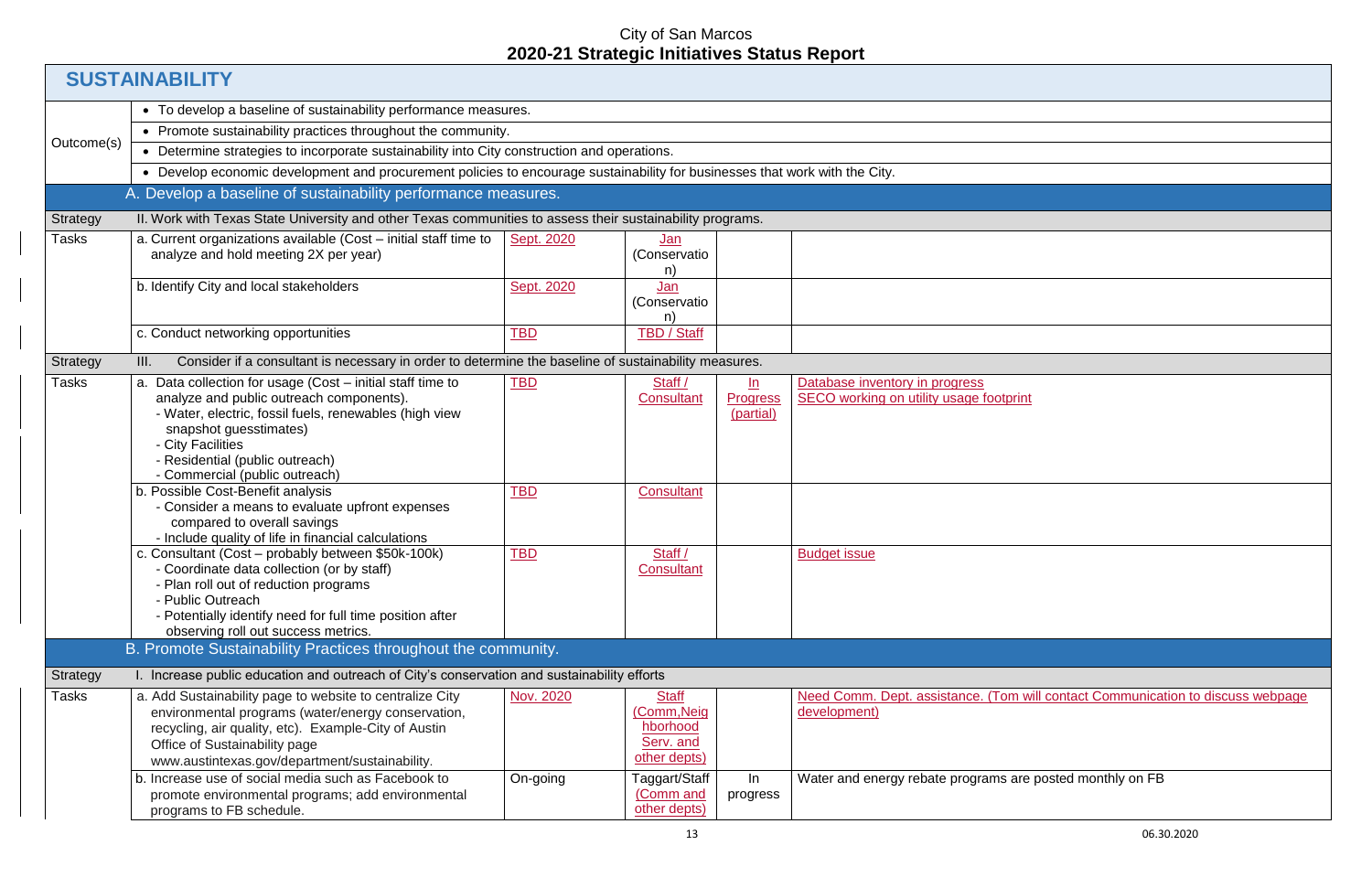|                 | <b>SUSTAINABILITY</b>                                                                                                                                                                                                                                                                                                                                                        |                          |                                                                      |                                                   |                                                                      |  |  |  |
|-----------------|------------------------------------------------------------------------------------------------------------------------------------------------------------------------------------------------------------------------------------------------------------------------------------------------------------------------------------------------------------------------------|--------------------------|----------------------------------------------------------------------|---------------------------------------------------|----------------------------------------------------------------------|--|--|--|
|                 | • To develop a baseline of sustainability performance measures.                                                                                                                                                                                                                                                                                                              |                          |                                                                      |                                                   |                                                                      |  |  |  |
|                 | • Promote sustainability practices throughout the community.                                                                                                                                                                                                                                                                                                                 |                          |                                                                      |                                                   |                                                                      |  |  |  |
| Outcome(s)      | • Determine strategies to incorporate sustainability into City construction and operations.                                                                                                                                                                                                                                                                                  |                          |                                                                      |                                                   |                                                                      |  |  |  |
|                 | • Develop economic development and procurement policies to encourage sustainability for businesses that work with the City.                                                                                                                                                                                                                                                  |                          |                                                                      |                                                   |                                                                      |  |  |  |
|                 | A. Develop a baseline of sustainability performance measures.                                                                                                                                                                                                                                                                                                                |                          |                                                                      |                                                   |                                                                      |  |  |  |
| Strategy        | II. Work with Texas State University and other Texas communities to assess their sustainability programs.                                                                                                                                                                                                                                                                    |                          |                                                                      |                                                   |                                                                      |  |  |  |
| Tasks           | a. Current organizations available (Cost – initial staff time to<br>analyze and hold meeting 2X per year)                                                                                                                                                                                                                                                                    | Sept. 2020               | <u>Jan</u><br>(Conservatio<br>n)                                     |                                                   |                                                                      |  |  |  |
|                 | b. Identify City and local stakeholders                                                                                                                                                                                                                                                                                                                                      | Sept. 2020               | Jan<br>(Conservatio<br>n)                                            |                                                   |                                                                      |  |  |  |
|                 | c. Conduct networking opportunities                                                                                                                                                                                                                                                                                                                                          | <b>TBD</b>               | <b>TBD / Staff</b>                                                   |                                                   |                                                                      |  |  |  |
| <b>Strategy</b> | Consider if a consultant is necessary in order to determine the baseline of sustainability measures.<br>III.                                                                                                                                                                                                                                                                 |                          |                                                                      |                                                   |                                                                      |  |  |  |
| Tasks           | a. Data collection for usage (Cost - initial staff time to<br>analyze and public outreach components).<br>- Water, electric, fossil fuels, renewables (high view<br>snapshot guesstimates)<br>- City Facilities<br>- Residential (public outreach)<br>- Commercial (public outreach)<br>b. Possible Cost-Benefit analysis<br>- Consider a means to evaluate upfront expenses | <b>TBD</b><br><b>TBD</b> | Staff /<br><b>Consultant</b><br><b>Consultant</b>                    | $\underline{\ln}$<br><b>Progress</b><br>(partial) | Database inventory in progress<br>SECO working on utility usage foot |  |  |  |
|                 | compared to overall savings<br>- Include quality of life in financial calculations<br>c. Consultant (Cost - probably between \$50k-100k)<br>- Coordinate data collection (or by staff)<br>- Plan roll out of reduction programs<br>- Public Outreach<br>- Potentially identify need for full time position after<br>observing roll out success metrics.                      | <b>TBD</b>               | Staff /<br><b>Consultant</b>                                         |                                                   | <b>Budget issue</b>                                                  |  |  |  |
|                 | B. Promote Sustainability Practices throughout the community.                                                                                                                                                                                                                                                                                                                |                          |                                                                      |                                                   |                                                                      |  |  |  |
| <b>Strategy</b> | I. Increase public education and outreach of City's conservation and sustainability efforts                                                                                                                                                                                                                                                                                  |                          |                                                                      |                                                   |                                                                      |  |  |  |
| Tasks           | a. Add Sustainability page to website to centralize City<br>environmental programs (water/energy conservation,<br>recycling, air quality, etc). Example-City of Austin<br>Office of Sustainability page<br>www.austintexas.gov/department/sustainability.                                                                                                                    | Nov. 2020                | <b>Staff</b><br>(Comm, Neig<br>hborhood<br>Serv. and<br>other depts) |                                                   | Need Comm. Dept. assistance. (To<br>development)                     |  |  |  |
|                 | b. Increase use of social media such as Facebook to<br>promote environmental programs; add environmental<br>programs to FB schedule.                                                                                                                                                                                                                                         | On-going                 | Taggart/Staff<br>(Comm and<br>other depts)                           | In<br>progress                                    | Water and energy rebate programs                                     |  |  |  |

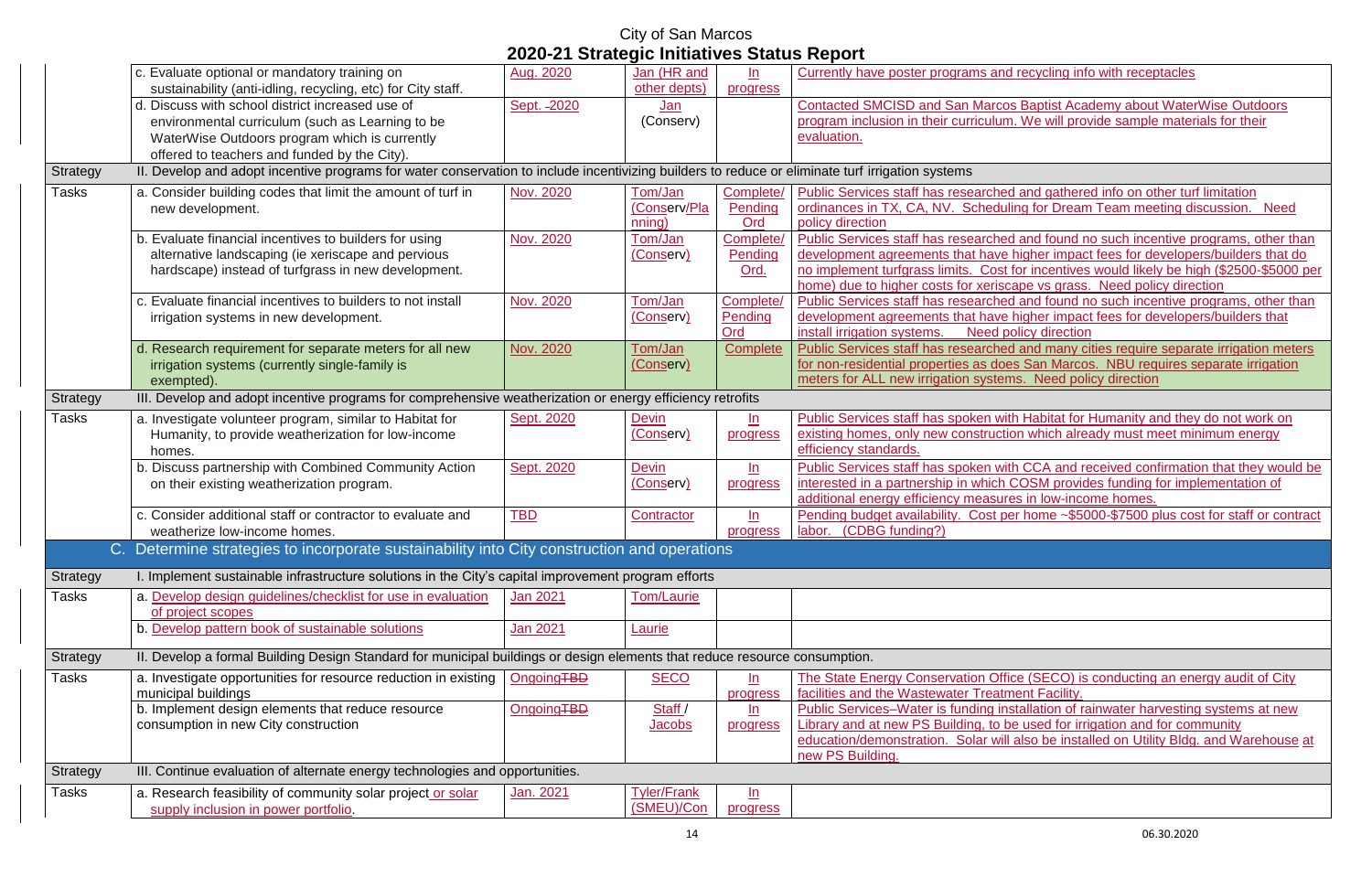|                 |                                                                                                                                                  |                        | <u>olo en ouduoglo minuunvoo oldido noponi</u> |                   |                                             |
|-----------------|--------------------------------------------------------------------------------------------------------------------------------------------------|------------------------|------------------------------------------------|-------------------|---------------------------------------------|
|                 | c. Evaluate optional or mandatory training on                                                                                                    | Aug. 2020              | Jan (HR and                                    | ln                | Currently have poster programs an           |
|                 | sustainability (anti-idling, recycling, etc) for City staff.                                                                                     |                        | other depts)                                   | progress          |                                             |
|                 | d. Discuss with school district increased use of                                                                                                 | Sept. - 2020           | Jan                                            |                   | <b>Contacted SMCISD and San Marco</b>       |
|                 | environmental curriculum (such as Learning to be                                                                                                 |                        | (Conserv)                                      |                   | program inclusion in their curriculur       |
|                 | WaterWise Outdoors program which is currently                                                                                                    |                        |                                                |                   | evaluation.                                 |
|                 | offered to teachers and funded by the City).                                                                                                     |                        |                                                |                   |                                             |
| Strategy        | II. Develop and adopt incentive programs for water conservation to include incentivizing builders to reduce or eliminate turf irrigation systems |                        |                                                |                   |                                             |
| <b>Tasks</b>    | a. Consider building codes that limit the amount of turf in                                                                                      | Nov. 2020              | Tom/Jan                                        | Complete/         | Public Services staff has researche         |
|                 | new development.                                                                                                                                 |                        | (Conserv/Pla                                   | Pending           | ordinances in TX, CA, NV. Schedu            |
|                 |                                                                                                                                                  |                        | nning)                                         | Ord               | policy direction                            |
|                 | b. Evaluate financial incentives to builders for using                                                                                           | Nov. 2020              | Tom/Jan                                        | Complete/         | <b>Public Services staff has researche</b>  |
|                 | alternative landscaping (ie xeriscape and pervious                                                                                               |                        | (Conserv)                                      | Pending           | development agreements that have            |
|                 | hardscape) instead of turfgrass in new development.                                                                                              |                        |                                                | Ord.              | no implement turfgrass limits. Cost         |
|                 |                                                                                                                                                  |                        |                                                |                   | home) due to higher costs for xerise        |
|                 | c. Evaluate financial incentives to builders to not install                                                                                      | Nov. 2020              | Tom/Jan                                        | Complete/         | <b>Public Services staff has researche</b>  |
|                 | irrigation systems in new development.                                                                                                           |                        | (Conserv)                                      | Pending           | development agreements that have            |
|                 |                                                                                                                                                  |                        |                                                | Ord               | install irrigation systems.<br>Need p       |
|                 | d. Research requirement for separate meters for all new                                                                                          | Nov. 2020              | Tom/Jan                                        | Complete          | <b>Public Services staff has researche</b>  |
|                 | irrigation systems (currently single-family is                                                                                                   |                        | (Conserv)                                      |                   | for non-residential properties as do        |
|                 | exempted).                                                                                                                                       |                        |                                                |                   | meters for ALL new irrigation syster        |
| <b>Strategy</b> | III. Develop and adopt incentive programs for comprehensive weatherization or energy efficiency retrofits                                        |                        |                                                |                   |                                             |
| <b>Tasks</b>    | a. Investigate volunteer program, similar to Habitat for                                                                                         | Sept. 2020             | <b>Devin</b>                                   | ln                | <b>Public Services staff has spoken wi</b>  |
|                 | Humanity, to provide weatherization for low-income                                                                                               |                        | (Conserv)                                      | progress          | existing homes, only new construct          |
|                 | homes.                                                                                                                                           |                        |                                                |                   | efficiency standards.                       |
|                 | b. Discuss partnership with Combined Community Action                                                                                            | Sept. 2020             | <b>Devin</b>                                   | ln                | Public Services staff has spoken wi         |
|                 | on their existing weatherization program.                                                                                                        |                        | (Conserv)                                      | progress          | interested in a partnership in which        |
|                 |                                                                                                                                                  |                        |                                                |                   | additional energy efficiency measur         |
|                 | c. Consider additional staff or contractor to evaluate and                                                                                       | <b>TBD</b>             | Contractor                                     | ln                | Pending budget availability. Cost p         |
|                 | weatherize low-income homes.                                                                                                                     |                        |                                                | progress          | labor. (CDBG funding?)                      |
|                 | C. Determine strategies to incorporate sustainability into City construction and operations                                                      |                        |                                                |                   |                                             |
|                 |                                                                                                                                                  |                        |                                                |                   |                                             |
| Strategy        | I. Implement sustainable infrastructure solutions in the City's capital improvement program efforts                                              |                        |                                                |                   |                                             |
| <b>Tasks</b>    | a. Develop design guidelines/checklist for use in evaluation                                                                                     | Jan 2021               | <b>Tom/Laurie</b>                              |                   |                                             |
|                 | of project scopes                                                                                                                                |                        |                                                |                   |                                             |
|                 | b. Develop pattern book of sustainable solutions                                                                                                 | Jan 2021               | Laurie                                         |                   |                                             |
| Strategy        | II. Develop a formal Building Design Standard for municipal buildings or design elements that reduce resource consumption.                       |                        |                                                |                   |                                             |
| <b>Tasks</b>    | a. Investigate opportunities for resource reduction in existing                                                                                  | OngoingTBD             | <b>SECO</b>                                    | ln                | The State Energy Conservation Off           |
|                 | municipal buildings                                                                                                                              |                        |                                                | progress          | facilities and the Wastewater Treatr        |
|                 | b. Implement design elements that reduce resource                                                                                                | Ongoing <sub>TBD</sub> | Staff /                                        | <u>ln</u>         | <b>Public Services-Water is funding in</b>  |
|                 | consumption in new City construction                                                                                                             |                        | <b>Jacobs</b>                                  | progress          | <b>Library and at new PS Building, to I</b> |
|                 |                                                                                                                                                  |                        |                                                |                   | education/demonstration. Solar wil          |
|                 |                                                                                                                                                  |                        |                                                |                   | new PS Building.                            |
| <b>Strategy</b> | III. Continue evaluation of alternate energy technologies and opportunities.                                                                     |                        |                                                |                   |                                             |
| <b>Tasks</b>    | a. Research feasibility of community solar project or solar                                                                                      | <u>Jan. 2021</u>       | <b>Tyler/Frank</b>                             | $\underline{\ln}$ |                                             |
|                 | supply inclusion in power portfolio.                                                                                                             |                        | (SMEU)/Con                                     | progress          |                                             |
|                 |                                                                                                                                                  |                        |                                                |                   |                                             |

d recycling info with receptacles

**Contact Separat Separat Separate Separate Separate Separate Separate Separate Separate Separate Separate Separate S** m. We will provide sample materials for their

ed and gathered info on other turf limitation Iling for Dream Team meeting discussion. Need

ed and found no such incentive programs, other than higher impact fees for developers/builders that do t for incentives would likely be high (\$2500-\$5000 per cape vs grass. Need policy direction

ed and found no such incentive programs, other than higher impact fees for developers/builders that install inconsider policy direction

ed and many cities require separate irrigation meters for an extending properties as does San Marcos. NBU requires separate irrigation ms. Need policy direction

ith Habitat for Humanity and they do not work on tion which already must meet minimum energy

ith CCA and received confirmation that they would be COSM provides funding for implementation of res in low-income homes.

Per home ~\$5000-\$7500 plus cost for staff or contract

fice (SECO) is conducting an energy audit of City ment Facility.

Installation of rainwater harvesting systems at new be used for irrigation and for community

Il also be installed on Utility Bldg. and Warehouse at